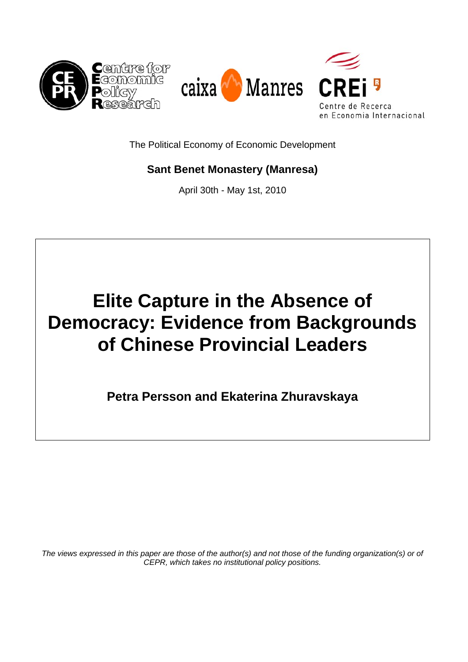

The Political Economy of Economic Development

## **Sant Benet Monastery (Manresa)**

April 30th - May 1st, 2010

# **Elite Capture in the Absence of Democracy: Evidence from Backgrounds of Chinese Provincial Leaders**

**Petra Persson and Ekaterina Zhuravskaya** 

*The views expressed in this paper are those of the author(s) and not those of the funding organization(s) or of CEPR, which takes no institutional policy positions.*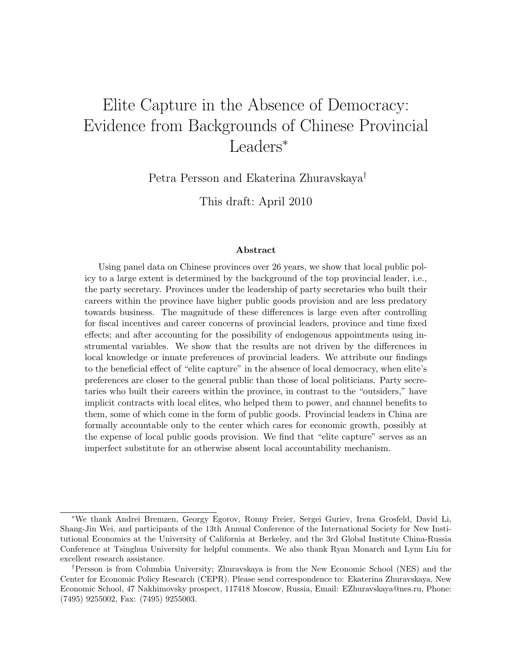## Elite Capture in the Absence of Democracy: Evidence from Backgrounds of Chinese Provincial Leaders<sup>∗</sup>

Petra Persson and Ekaterina Zhuravskaya†

This draft: April 2010

#### Abstract

Using panel data on Chinese provinces over 26 years, we show that local public policy to a large extent is determined by the background of the top provincial leader, i.e., the party secretary. Provinces under the leadership of party secretaries who built their careers within the province have higher public goods provision and are less predatory towards business. The magnitude of these differences is large even after controlling for fiscal incentives and career concerns of provincial leaders, province and time fixed effects; and after accounting for the possibility of endogenous appointments using instrumental variables. We show that the results are not driven by the differences in local knowledge or innate preferences of provincial leaders. We attribute our findings to the beneficial effect of "elite capture" in the absence of local democracy, when elite's preferences are closer to the general public than those of local politicians. Party secretaries who built their careers within the province, in contrast to the "outsiders," have implicit contracts with local elites, who helped them to power, and channel benefits to them, some of which come in the form of public goods. Provincial leaders in China are formally accountable only to the center which cares for economic growth, possibly at the expense of local public goods provision. We find that "elite capture" serves as an imperfect substitute for an otherwise absent local accountability mechanism.

<sup>∗</sup>We thank Andrei Bremzen, Georgy Egorov, Ronny Freier, Sergei Guriev, Irena Grosfeld, David Li, Shang-Jin Wei, and participants of the 13th Annual Conference of the International Society for New Institutional Economics at the University of California at Berkeley, and the 3rd Global Institute China-Russia Conference at Tsinghua University for helpful comments. We also thank Ryan Monarch and Lynn Liu for excellent research assistance.

<sup>†</sup>Persson is from Columbia University; Zhuravskaya is from the New Economic School (NES) and the Center for Economic Policy Research (CEPR). Please send correspondence to: Ekaterina Zhuravskaya, New Economic School, 47 Nakhimovsky prospect, 117418 Moscow, Russia, Email: EZhuravskaya@nes.ru, Phone: (7495) 9255002, Fax: (7495) 9255003.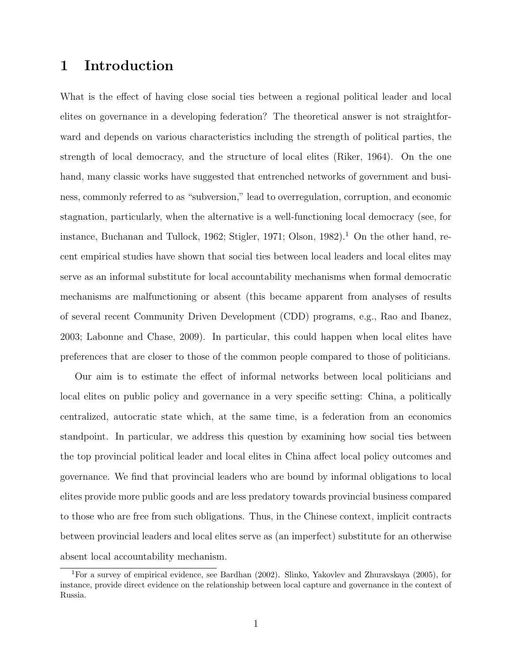## 1 Introduction

What is the effect of having close social ties between a regional political leader and local elites on governance in a developing federation? The theoretical answer is not straightforward and depends on various characteristics including the strength of political parties, the strength of local democracy, and the structure of local elites (Riker, 1964). On the one hand, many classic works have suggested that entrenched networks of government and business, commonly referred to as "subversion," lead to overregulation, corruption, and economic stagnation, particularly, when the alternative is a well-functioning local democracy (see, for instance, Buchanan and Tullock, 1962; Stigler, 1971; Olson, 1982).<sup>1</sup> On the other hand, recent empirical studies have shown that social ties between local leaders and local elites may serve as an informal substitute for local accountability mechanisms when formal democratic mechanisms are malfunctioning or absent (this became apparent from analyses of results of several recent Community Driven Development (CDD) programs, e.g., Rao and Ibanez, 2003; Labonne and Chase, 2009). In particular, this could happen when local elites have preferences that are closer to those of the common people compared to those of politicians.

Our aim is to estimate the effect of informal networks between local politicians and local elites on public policy and governance in a very specific setting: China, a politically centralized, autocratic state which, at the same time, is a federation from an economics standpoint. In particular, we address this question by examining how social ties between the top provincial political leader and local elites in China affect local policy outcomes and governance. We find that provincial leaders who are bound by informal obligations to local elites provide more public goods and are less predatory towards provincial business compared to those who are free from such obligations. Thus, in the Chinese context, implicit contracts between provincial leaders and local elites serve as (an imperfect) substitute for an otherwise absent local accountability mechanism.

<sup>1</sup>For a survey of empirical evidence, see Bardhan (2002). Slinko, Yakovlev and Zhuravskaya (2005), for instance, provide direct evidence on the relationship between local capture and governance in the context of Russia.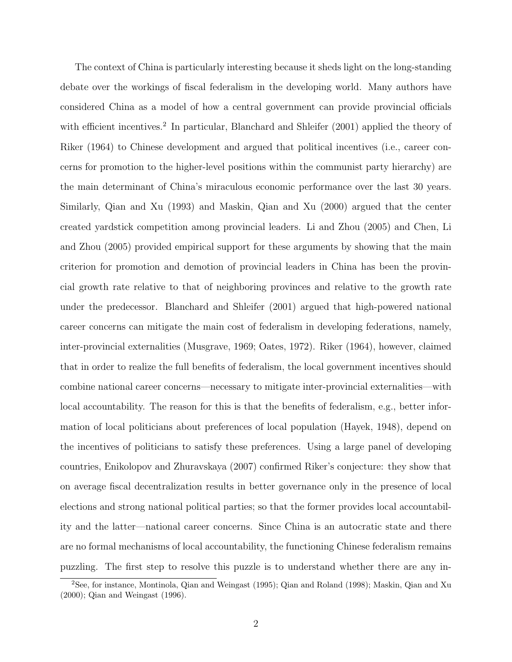The context of China is particularly interesting because it sheds light on the long-standing debate over the workings of fiscal federalism in the developing world. Many authors have considered China as a model of how a central government can provide provincial officials with efficient incentives.<sup>2</sup> In particular, Blanchard and Shleifer (2001) applied the theory of Riker (1964) to Chinese development and argued that political incentives (i.e., career concerns for promotion to the higher-level positions within the communist party hierarchy) are the main determinant of China's miraculous economic performance over the last 30 years. Similarly, Qian and Xu (1993) and Maskin, Qian and Xu (2000) argued that the center created yardstick competition among provincial leaders. Li and Zhou (2005) and Chen, Li and Zhou (2005) provided empirical support for these arguments by showing that the main criterion for promotion and demotion of provincial leaders in China has been the provincial growth rate relative to that of neighboring provinces and relative to the growth rate under the predecessor. Blanchard and Shleifer (2001) argued that high-powered national career concerns can mitigate the main cost of federalism in developing federations, namely, inter-provincial externalities (Musgrave, 1969; Oates, 1972). Riker (1964), however, claimed that in order to realize the full benefits of federalism, the local government incentives should combine national career concerns—necessary to mitigate inter-provincial externalities—with local accountability. The reason for this is that the benefits of federalism, e.g., better information of local politicians about preferences of local population (Hayek, 1948), depend on the incentives of politicians to satisfy these preferences. Using a large panel of developing countries, Enikolopov and Zhuravskaya (2007) confirmed Riker's conjecture: they show that on average fiscal decentralization results in better governance only in the presence of local elections and strong national political parties; so that the former provides local accountability and the latter—national career concerns. Since China is an autocratic state and there are no formal mechanisms of local accountability, the functioning Chinese federalism remains puzzling. The first step to resolve this puzzle is to understand whether there are any in-

<sup>2</sup>See, for instance, Montinola, Qian and Weingast (1995); Qian and Roland (1998); Maskin, Qian and Xu (2000); Qian and Weingast (1996).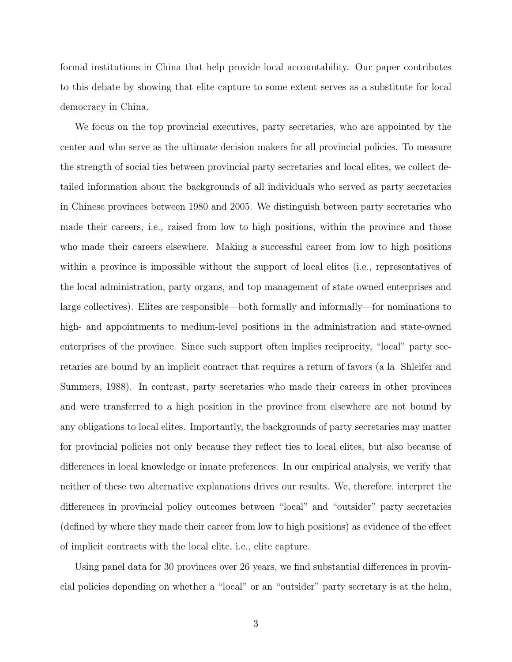formal institutions in China that help provide local accountability. Our paper contributes to this debate by showing that elite capture to some extent serves as a substitute for local democracy in China.

We focus on the top provincial executives, party secretaries, who are appointed by the center and who serve as the ultimate decision makers for all provincial policies. To measure the strength of social ties between provincial party secretaries and local elites, we collect detailed information about the backgrounds of all individuals who served as party secretaries in Chinese provinces between 1980 and 2005. We distinguish between party secretaries who made their careers, i.e., raised from low to high positions, within the province and those who made their careers elsewhere. Making a successful career from low to high positions within a province is impossible without the support of local elites (i.e., representatives of the local administration, party organs, and top management of state owned enterprises and large collectives). Elites are responsible—both formally and informally—for nominations to high- and appointments to medium-level positions in the administration and state-owned enterprises of the province. Since such support often implies reciprocity, "local" party secretaries are bound by an implicit contract that requires a return of favors (a la Shleifer and Summers, 1988). In contrast, party secretaries who made their careers in other provinces and were transferred to a high position in the province from elsewhere are not bound by any obligations to local elites. Importantly, the backgrounds of party secretaries may matter for provincial policies not only because they reflect ties to local elites, but also because of differences in local knowledge or innate preferences. In our empirical analysis, we verify that neither of these two alternative explanations drives our results. We, therefore, interpret the differences in provincial policy outcomes between "local" and "outsider" party secretaries (defined by where they made their career from low to high positions) as evidence of the effect of implicit contracts with the local elite, i.e., elite capture.

Using panel data for 30 provinces over 26 years, we find substantial differences in provincial policies depending on whether a "local" or an "outsider" party secretary is at the helm,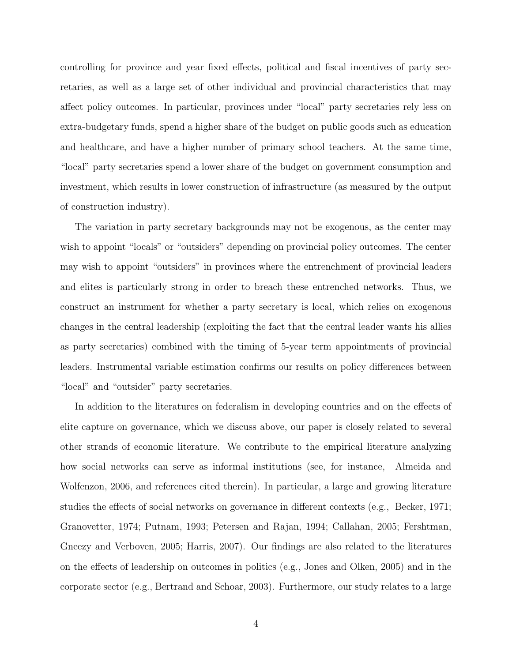controlling for province and year fixed effects, political and fiscal incentives of party secretaries, as well as a large set of other individual and provincial characteristics that may affect policy outcomes. In particular, provinces under "local" party secretaries rely less on extra-budgetary funds, spend a higher share of the budget on public goods such as education and healthcare, and have a higher number of primary school teachers. At the same time, "local" party secretaries spend a lower share of the budget on government consumption and investment, which results in lower construction of infrastructure (as measured by the output of construction industry).

The variation in party secretary backgrounds may not be exogenous, as the center may wish to appoint "locals" or "outsiders" depending on provincial policy outcomes. The center may wish to appoint "outsiders" in provinces where the entrenchment of provincial leaders and elites is particularly strong in order to breach these entrenched networks. Thus, we construct an instrument for whether a party secretary is local, which relies on exogenous changes in the central leadership (exploiting the fact that the central leader wants his allies as party secretaries) combined with the timing of 5-year term appointments of provincial leaders. Instrumental variable estimation confirms our results on policy differences between "local" and "outsider" party secretaries.

In addition to the literatures on federalism in developing countries and on the effects of elite capture on governance, which we discuss above, our paper is closely related to several other strands of economic literature. We contribute to the empirical literature analyzing how social networks can serve as informal institutions (see, for instance, Almeida and Wolfenzon, 2006, and references cited therein). In particular, a large and growing literature studies the effects of social networks on governance in different contexts (e.g., Becker, 1971; Granovetter, 1974; Putnam, 1993; Petersen and Rajan, 1994; Callahan, 2005; Fershtman, Gneezy and Verboven, 2005; Harris, 2007). Our findings are also related to the literatures on the effects of leadership on outcomes in politics (e.g., Jones and Olken, 2005) and in the corporate sector (e.g., Bertrand and Schoar, 2003). Furthermore, our study relates to a large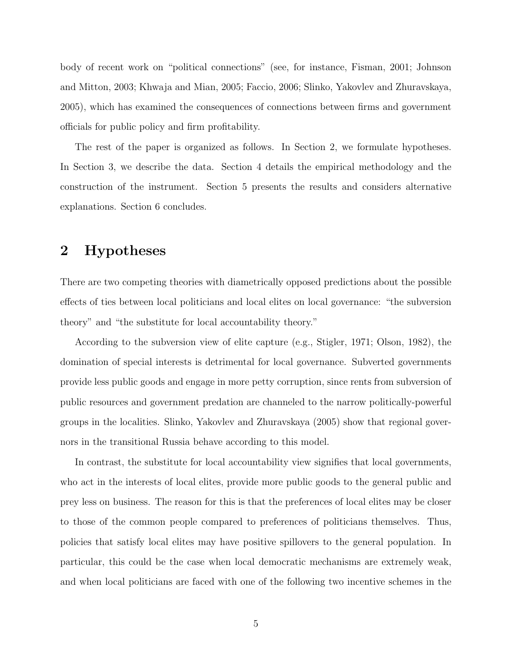body of recent work on "political connections" (see, for instance, Fisman, 2001; Johnson and Mitton, 2003; Khwaja and Mian, 2005; Faccio, 2006; Slinko, Yakovlev and Zhuravskaya, 2005), which has examined the consequences of connections between firms and government officials for public policy and firm profitability.

The rest of the paper is organized as follows. In Section 2, we formulate hypotheses. In Section 3, we describe the data. Section 4 details the empirical methodology and the construction of the instrument. Section 5 presents the results and considers alternative explanations. Section 6 concludes.

## 2 Hypotheses

There are two competing theories with diametrically opposed predictions about the possible effects of ties between local politicians and local elites on local governance: "the subversion theory" and "the substitute for local accountability theory."

According to the subversion view of elite capture (e.g., Stigler, 1971; Olson, 1982), the domination of special interests is detrimental for local governance. Subverted governments provide less public goods and engage in more petty corruption, since rents from subversion of public resources and government predation are channeled to the narrow politically-powerful groups in the localities. Slinko, Yakovlev and Zhuravskaya (2005) show that regional governors in the transitional Russia behave according to this model.

In contrast, the substitute for local accountability view signifies that local governments, who act in the interests of local elites, provide more public goods to the general public and prey less on business. The reason for this is that the preferences of local elites may be closer to those of the common people compared to preferences of politicians themselves. Thus, policies that satisfy local elites may have positive spillovers to the general population. In particular, this could be the case when local democratic mechanisms are extremely weak, and when local politicians are faced with one of the following two incentive schemes in the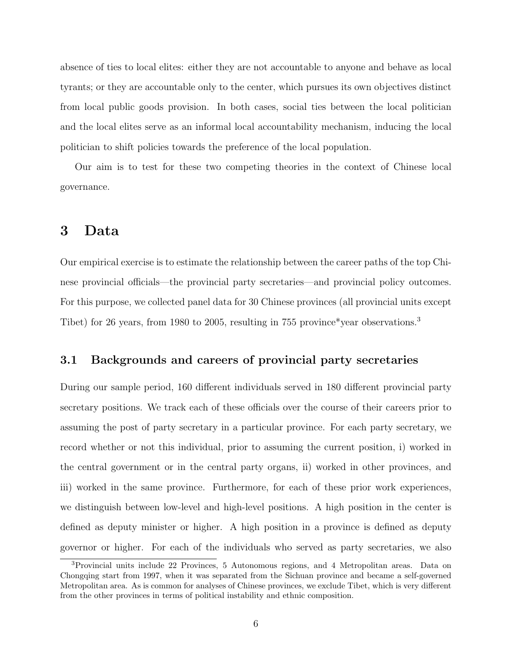absence of ties to local elites: either they are not accountable to anyone and behave as local tyrants; or they are accountable only to the center, which pursues its own objectives distinct from local public goods provision. In both cases, social ties between the local politician and the local elites serve as an informal local accountability mechanism, inducing the local politician to shift policies towards the preference of the local population.

Our aim is to test for these two competing theories in the context of Chinese local governance.

### 3 Data

Our empirical exercise is to estimate the relationship between the career paths of the top Chinese provincial officials—the provincial party secretaries—and provincial policy outcomes. For this purpose, we collected panel data for 30 Chinese provinces (all provincial units except Tibet) for 26 years, from 1980 to 2005, resulting in 755 province\*year observations.<sup>3</sup>

#### 3.1 Backgrounds and careers of provincial party secretaries

During our sample period, 160 different individuals served in 180 different provincial party secretary positions. We track each of these officials over the course of their careers prior to assuming the post of party secretary in a particular province. For each party secretary, we record whether or not this individual, prior to assuming the current position, i) worked in the central government or in the central party organs, ii) worked in other provinces, and iii) worked in the same province. Furthermore, for each of these prior work experiences, we distinguish between low-level and high-level positions. A high position in the center is defined as deputy minister or higher. A high position in a province is defined as deputy governor or higher. For each of the individuals who served as party secretaries, we also

<sup>3</sup>Provincial units include 22 Provinces, 5 Autonomous regions, and 4 Metropolitan areas. Data on Chongqing start from 1997, when it was separated from the Sichuan province and became a self-governed Metropolitan area. As is common for analyses of Chinese provinces, we exclude Tibet, which is very different from the other provinces in terms of political instability and ethnic composition.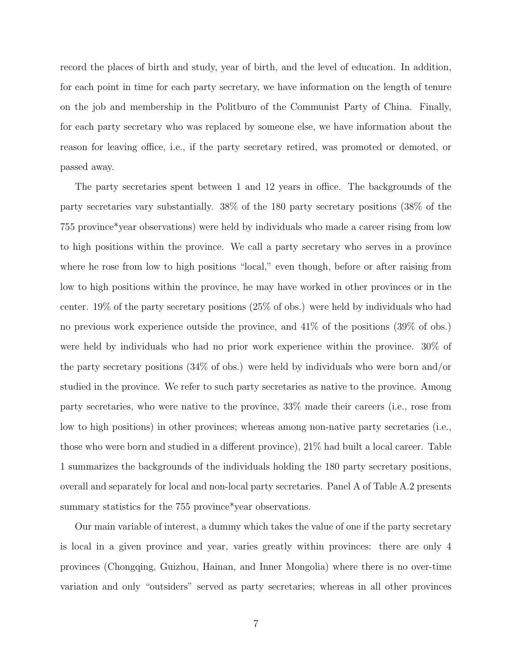record the places of birth and study, year of birth, and the level of education. In addition, for each point in time for each party secretary, we have information on the length of tenure on the job and membership in the Politburo of the Communist Party of China. Finally, for each party secretary who was replaced by someone else, we have information about the reason for leaving office, i.e., if the party secretary retired, was promoted or demoted, or passed away.

The party secretaries spent between 1 and 12 years in office. The backgrounds of the party secretaries vary substantially. 38% of the 180 party secretary positions (38% of the 755 province\*year observations) were held by individuals who made a career rising from low to high positions within the province. We call a party secretary who serves in a province where he rose from low to high positions "local," even though, before or after raising from low to high positions within the province, he may have worked in other provinces or in the center. 19% of the party secretary positions (25% of obs.) were held by individuals who had no previous work experience outside the province, and 41% of the positions (39% of obs.) were held by individuals who had no prior work experience within the province. 30% of the party secretary positions (34% of obs.) were held by individuals who were born and/or studied in the province. We refer to such party secretaries as native to the province. Among party secretaries, who were native to the province, 33% made their careers (i.e., rose from low to high positions) in other provinces; whereas among non-native party secretaries (i.e., those who were born and studied in a different province), 21% had built a local career. Table 1 summarizes the backgrounds of the individuals holding the 180 party secretary positions, overall and separately for local and non-local party secretaries. Panel A of Table A.2 presents summary statistics for the 755 province\*year observations.

Our main variable of interest, a dummy which takes the value of one if the party secretary is local in a given province and year, varies greatly within provinces: there are only 4 provinces (Chongqing, Guizhou, Hainan, and Inner Mongolia) where there is no over-time variation and only "outsiders" served as party secretaries; whereas in all other provinces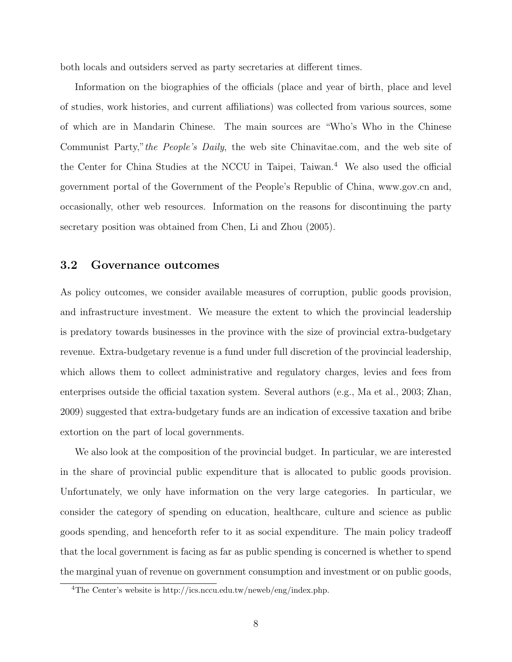both locals and outsiders served as party secretaries at different times.

Information on the biographies of the officials (place and year of birth, place and level of studies, work histories, and current affiliations) was collected from various sources, some of which are in Mandarin Chinese. The main sources are "Who's Who in the Chinese Communist Party,"the People's Daily, the web site Chinavitae.com, and the web site of the Center for China Studies at the NCCU in Taipei, Taiwan.<sup>4</sup> We also used the official government portal of the Government of the People's Republic of China, www.gov.cn and, occasionally, other web resources. Information on the reasons for discontinuing the party secretary position was obtained from Chen, Li and Zhou (2005).

#### 3.2 Governance outcomes

As policy outcomes, we consider available measures of corruption, public goods provision, and infrastructure investment. We measure the extent to which the provincial leadership is predatory towards businesses in the province with the size of provincial extra-budgetary revenue. Extra-budgetary revenue is a fund under full discretion of the provincial leadership, which allows them to collect administrative and regulatory charges, levies and fees from enterprises outside the official taxation system. Several authors (e.g., Ma et al., 2003; Zhan, 2009) suggested that extra-budgetary funds are an indication of excessive taxation and bribe extortion on the part of local governments.

We also look at the composition of the provincial budget. In particular, we are interested in the share of provincial public expenditure that is allocated to public goods provision. Unfortunately, we only have information on the very large categories. In particular, we consider the category of spending on education, healthcare, culture and science as public goods spending, and henceforth refer to it as social expenditure. The main policy tradeoff that the local government is facing as far as public spending is concerned is whether to spend the marginal yuan of revenue on government consumption and investment or on public goods,

<sup>4</sup>The Center's website is http://ics.nccu.edu.tw/neweb/eng/index.php.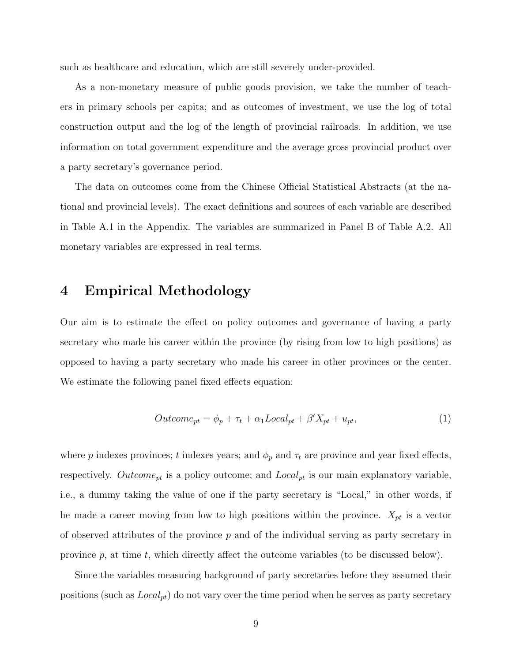such as healthcare and education, which are still severely under-provided.

As a non-monetary measure of public goods provision, we take the number of teachers in primary schools per capita; and as outcomes of investment, we use the log of total construction output and the log of the length of provincial railroads. In addition, we use information on total government expenditure and the average gross provincial product over a party secretary's governance period.

The data on outcomes come from the Chinese Official Statistical Abstracts (at the national and provincial levels). The exact definitions and sources of each variable are described in Table A.1 in the Appendix. The variables are summarized in Panel B of Table A.2. All monetary variables are expressed in real terms.

## 4 Empirical Methodology

Our aim is to estimate the effect on policy outcomes and governance of having a party secretary who made his career within the province (by rising from low to high positions) as opposed to having a party secretary who made his career in other provinces or the center. We estimate the following panel fixed effects equation:

$$
Outcome_{pt} = \phi_p + \tau_t + \alpha_1 Local_{pt} + \beta' X_{pt} + u_{pt},\tag{1}
$$

where p indexes provinces; t indexes years; and  $\phi_p$  and  $\tau_t$  are province and year fixed effects, respectively.  $Outcome_{pt}$  is a policy outcome; and  $Local_{pt}$  is our main explanatory variable, i.e., a dummy taking the value of one if the party secretary is "Local," in other words, if he made a career moving from low to high positions within the province.  $X_{pt}$  is a vector of observed attributes of the province  $p$  and of the individual serving as party secretary in province  $p$ , at time  $t$ , which directly affect the outcome variables (to be discussed below).

Since the variables measuring background of party secretaries before they assumed their positions (such as  $Local_{pt}$ ) do not vary over the time period when he serves as party secretary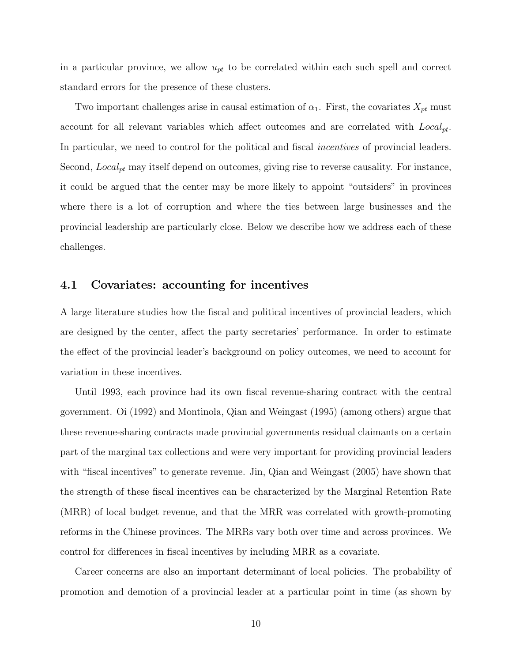in a particular province, we allow  $u_{pt}$  to be correlated within each such spell and correct standard errors for the presence of these clusters.

Two important challenges arise in causal estimation of  $\alpha_1$ . First, the covariates  $X_{pt}$  must account for all relevant variables which affect outcomes and are correlated with  $Local_{pt}$ . In particular, we need to control for the political and fiscal *incentives* of provincial leaders. Second,  $Local_{pt}$  may itself depend on outcomes, giving rise to reverse causality. For instance, it could be argued that the center may be more likely to appoint "outsiders" in provinces where there is a lot of corruption and where the ties between large businesses and the provincial leadership are particularly close. Below we describe how we address each of these challenges.

#### 4.1 Covariates: accounting for incentives

A large literature studies how the fiscal and political incentives of provincial leaders, which are designed by the center, affect the party secretaries' performance. In order to estimate the effect of the provincial leader's background on policy outcomes, we need to account for variation in these incentives.

Until 1993, each province had its own fiscal revenue-sharing contract with the central government. Oi (1992) and Montinola, Qian and Weingast (1995) (among others) argue that these revenue-sharing contracts made provincial governments residual claimants on a certain part of the marginal tax collections and were very important for providing provincial leaders with "fiscal incentives" to generate revenue. Jin, Qian and Weingast (2005) have shown that the strength of these fiscal incentives can be characterized by the Marginal Retention Rate (MRR) of local budget revenue, and that the MRR was correlated with growth-promoting reforms in the Chinese provinces. The MRRs vary both over time and across provinces. We control for differences in fiscal incentives by including MRR as a covariate.

Career concerns are also an important determinant of local policies. The probability of promotion and demotion of a provincial leader at a particular point in time (as shown by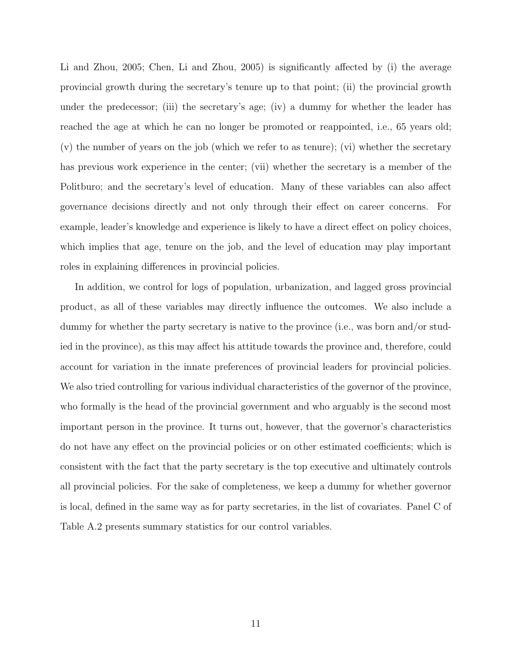Li and Zhou, 2005; Chen, Li and Zhou, 2005) is significantly affected by (i) the average provincial growth during the secretary's tenure up to that point; (ii) the provincial growth under the predecessor; (iii) the secretary's age; (iv) a dummy for whether the leader has reached the age at which he can no longer be promoted or reappointed, i.e., 65 years old; (v) the number of years on the job (which we refer to as tenure); (vi) whether the secretary has previous work experience in the center; (vii) whether the secretary is a member of the Politburo; and the secretary's level of education. Many of these variables can also affect governance decisions directly and not only through their effect on career concerns. For example, leader's knowledge and experience is likely to have a direct effect on policy choices, which implies that age, tenure on the job, and the level of education may play important roles in explaining differences in provincial policies.

In addition, we control for logs of population, urbanization, and lagged gross provincial product, as all of these variables may directly influence the outcomes. We also include a dummy for whether the party secretary is native to the province (i.e., was born and/or studied in the province), as this may affect his attitude towards the province and, therefore, could account for variation in the innate preferences of provincial leaders for provincial policies. We also tried controlling for various individual characteristics of the governor of the province, who formally is the head of the provincial government and who arguably is the second most important person in the province. It turns out, however, that the governor's characteristics do not have any effect on the provincial policies or on other estimated coefficients; which is consistent with the fact that the party secretary is the top executive and ultimately controls all provincial policies. For the sake of completeness, we keep a dummy for whether governor is local, defined in the same way as for party secretaries, in the list of covariates. Panel C of Table A.2 presents summary statistics for our control variables.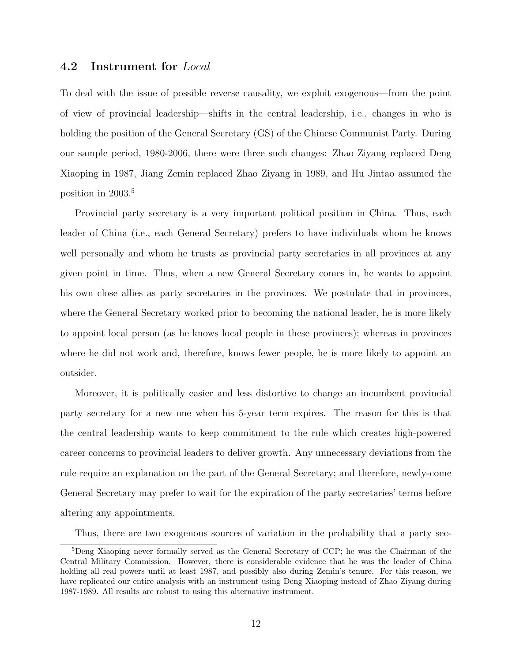#### 4.2 Instrument for Local

To deal with the issue of possible reverse causality, we exploit exogenous—from the point of view of provincial leadership—shifts in the central leadership, i.e., changes in who is holding the position of the General Secretary (GS) of the Chinese Communist Party. During our sample period, 1980-2006, there were three such changes: Zhao Ziyang replaced Deng Xiaoping in 1987, Jiang Zemin replaced Zhao Ziyang in 1989, and Hu Jintao assumed the position in 2003.<sup>5</sup>

Provincial party secretary is a very important political position in China. Thus, each leader of China (i.e., each General Secretary) prefers to have individuals whom he knows well personally and whom he trusts as provincial party secretaries in all provinces at any given point in time. Thus, when a new General Secretary comes in, he wants to appoint his own close allies as party secretaries in the provinces. We postulate that in provinces, where the General Secretary worked prior to becoming the national leader, he is more likely to appoint local person (as he knows local people in these provinces); whereas in provinces where he did not work and, therefore, knows fewer people, he is more likely to appoint an outsider.

Moreover, it is politically easier and less distortive to change an incumbent provincial party secretary for a new one when his 5-year term expires. The reason for this is that the central leadership wants to keep commitment to the rule which creates high-powered career concerns to provincial leaders to deliver growth. Any unnecessary deviations from the rule require an explanation on the part of the General Secretary; and therefore, newly-come General Secretary may prefer to wait for the expiration of the party secretaries' terms before altering any appointments.

Thus, there are two exogenous sources of variation in the probability that a party sec-

<sup>&</sup>lt;sup>5</sup>Deng Xiaoping never formally served as the General Secretary of CCP; he was the Chairman of the Central Military Commission. However, there is considerable evidence that he was the leader of China holding all real powers until at least 1987, and possibly also during Zemin's tenure. For this reason, we have replicated our entire analysis with an instrument using Deng Xiaoping instead of Zhao Ziyang during 1987-1989. All results are robust to using this alternative instrument.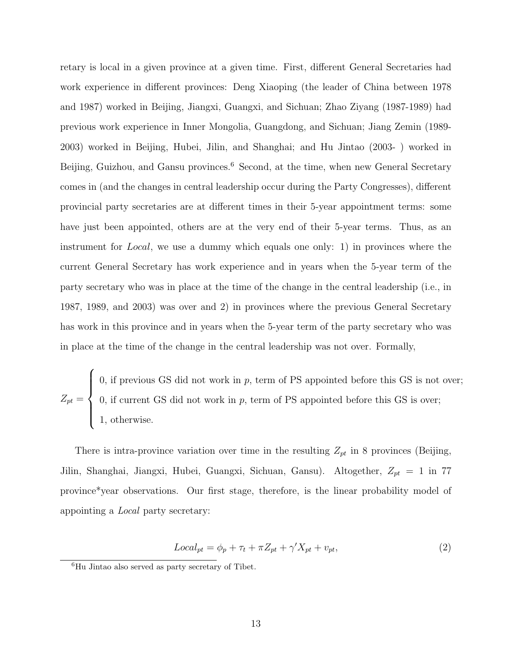retary is local in a given province at a given time. First, different General Secretaries had work experience in different provinces: Deng Xiaoping (the leader of China between 1978 and 1987) worked in Beijing, Jiangxi, Guangxi, and Sichuan; Zhao Ziyang (1987-1989) had previous work experience in Inner Mongolia, Guangdong, and Sichuan; Jiang Zemin (1989- 2003) worked in Beijing, Hubei, Jilin, and Shanghai; and Hu Jintao (2003- ) worked in Beijing, Guizhou, and Gansu provinces.<sup>6</sup> Second, at the time, when new General Secretary comes in (and the changes in central leadership occur during the Party Congresses), different provincial party secretaries are at different times in their 5-year appointment terms: some have just been appointed, others are at the very end of their 5-year terms. Thus, as an instrument for Local, we use a dummy which equals one only: 1) in provinces where the current General Secretary has work experience and in years when the 5-year term of the party secretary who was in place at the time of the change in the central leadership (i.e., in 1987, 1989, and 2003) was over and 2) in provinces where the previous General Secretary has work in this province and in years when the 5-year term of the party secretary who was in place at the time of the change in the central leadership was not over. Formally,

 $Z_{pt} =$  $\sqrt{ }$  $\int$  $\overline{\mathcal{L}}$ 0, if previous GS did not work in  $p$ , term of PS appointed before this GS is not over; 0, if current GS did not work in  $p$ , term of PS appointed before this GS is over; 1, otherwise.

There is intra-province variation over time in the resulting  $Z_{pt}$  in 8 provinces (Beijing, Jilin, Shanghai, Jiangxi, Hubei, Guangxi, Sichuan, Gansu). Altogether,  $Z_{pt} = 1$  in 77 province\*year observations. Our first stage, therefore, is the linear probability model of appointing a Local party secretary:

$$
Local_{pt} = \phi_p + \tau_t + \pi Z_{pt} + \gamma' X_{pt} + v_{pt}, \qquad (2)
$$

 $\overline{6}$ Hu Jintao also served as party secretary of Tibet.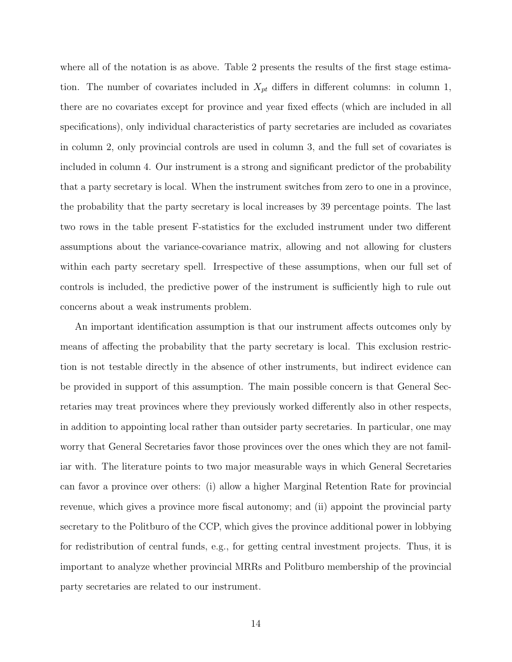where all of the notation is as above. Table 2 presents the results of the first stage estimation. The number of covariates included in  $X_{pt}$  differs in different columns: in column 1, there are no covariates except for province and year fixed effects (which are included in all specifications), only individual characteristics of party secretaries are included as covariates in column 2, only provincial controls are used in column 3, and the full set of covariates is included in column 4. Our instrument is a strong and significant predictor of the probability that a party secretary is local. When the instrument switches from zero to one in a province, the probability that the party secretary is local increases by 39 percentage points. The last two rows in the table present F-statistics for the excluded instrument under two different assumptions about the variance-covariance matrix, allowing and not allowing for clusters within each party secretary spell. Irrespective of these assumptions, when our full set of controls is included, the predictive power of the instrument is sufficiently high to rule out concerns about a weak instruments problem.

An important identification assumption is that our instrument affects outcomes only by means of affecting the probability that the party secretary is local. This exclusion restriction is not testable directly in the absence of other instruments, but indirect evidence can be provided in support of this assumption. The main possible concern is that General Secretaries may treat provinces where they previously worked differently also in other respects, in addition to appointing local rather than outsider party secretaries. In particular, one may worry that General Secretaries favor those provinces over the ones which they are not familiar with. The literature points to two major measurable ways in which General Secretaries can favor a province over others: (i) allow a higher Marginal Retention Rate for provincial revenue, which gives a province more fiscal autonomy; and (ii) appoint the provincial party secretary to the Politburo of the CCP, which gives the province additional power in lobbying for redistribution of central funds, e.g., for getting central investment projects. Thus, it is important to analyze whether provincial MRRs and Politburo membership of the provincial party secretaries are related to our instrument.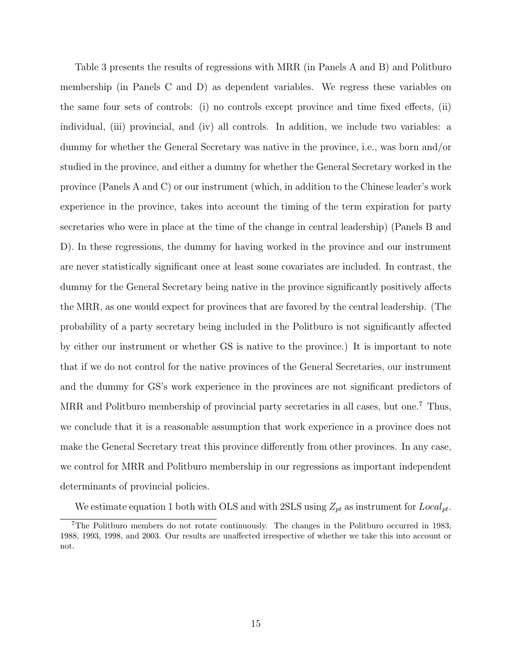Table 3 presents the results of regressions with MRR (in Panels A and B) and Politburo membership (in Panels C and D) as dependent variables. We regress these variables on the same four sets of controls: (i) no controls except province and time fixed effects, (ii) individual, (iii) provincial, and (iv) all controls. In addition, we include two variables: a dummy for whether the General Secretary was native in the province, i.e., was born and/or studied in the province, and either a dummy for whether the General Secretary worked in the province (Panels A and C) or our instrument (which, in addition to the Chinese leader's work experience in the province, takes into account the timing of the term expiration for party secretaries who were in place at the time of the change in central leadership) (Panels B and D). In these regressions, the dummy for having worked in the province and our instrument are never statistically significant once at least some covariates are included. In contrast, the dummy for the General Secretary being native in the province significantly positively affects the MRR, as one would expect for provinces that are favored by the central leadership. (The probability of a party secretary being included in the Politburo is not significantly affected by either our instrument or whether GS is native to the province.) It is important to note that if we do not control for the native provinces of the General Secretaries, our instrument and the dummy for GS's work experience in the provinces are not significant predictors of MRR and Politburo membership of provincial party secretaries in all cases, but one.<sup>7</sup> Thus, we conclude that it is a reasonable assumption that work experience in a province does not make the General Secretary treat this province differently from other provinces. In any case, we control for MRR and Politburo membership in our regressions as important independent determinants of provincial policies.

We estimate equation 1 both with OLS and with 2SLS using  $Z_{pt}$  as instrument for  $Local_{pt}$ .

<sup>7</sup>The Politburo members do not rotate continuously. The changes in the Politburo occurred in 1983, 1988, 1993, 1998, and 2003. Our results are unaffected irrespective of whether we take this into account or not.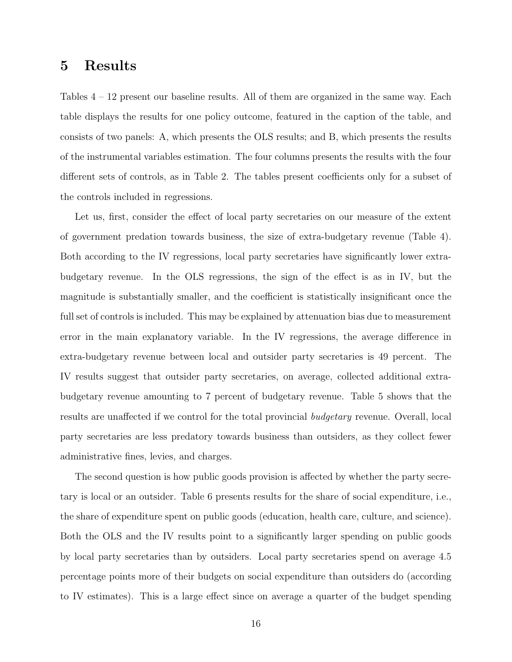## 5 Results

Tables 4 – 12 present our baseline results. All of them are organized in the same way. Each table displays the results for one policy outcome, featured in the caption of the table, and consists of two panels: A, which presents the OLS results; and B, which presents the results of the instrumental variables estimation. The four columns presents the results with the four different sets of controls, as in Table 2. The tables present coefficients only for a subset of the controls included in regressions.

Let us, first, consider the effect of local party secretaries on our measure of the extent of government predation towards business, the size of extra-budgetary revenue (Table 4). Both according to the IV regressions, local party secretaries have significantly lower extrabudgetary revenue. In the OLS regressions, the sign of the effect is as in IV, but the magnitude is substantially smaller, and the coefficient is statistically insignificant once the full set of controls is included. This may be explained by attenuation bias due to measurement error in the main explanatory variable. In the IV regressions, the average difference in extra-budgetary revenue between local and outsider party secretaries is 49 percent. The IV results suggest that outsider party secretaries, on average, collected additional extrabudgetary revenue amounting to 7 percent of budgetary revenue. Table 5 shows that the results are unaffected if we control for the total provincial budgetary revenue. Overall, local party secretaries are less predatory towards business than outsiders, as they collect fewer administrative fines, levies, and charges.

The second question is how public goods provision is affected by whether the party secretary is local or an outsider. Table 6 presents results for the share of social expenditure, i.e., the share of expenditure spent on public goods (education, health care, culture, and science). Both the OLS and the IV results point to a significantly larger spending on public goods by local party secretaries than by outsiders. Local party secretaries spend on average 4.5 percentage points more of their budgets on social expenditure than outsiders do (according to IV estimates). This is a large effect since on average a quarter of the budget spending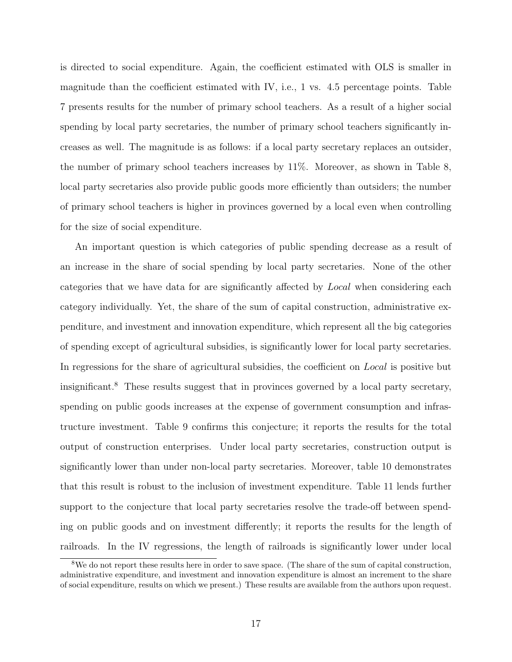is directed to social expenditure. Again, the coefficient estimated with OLS is smaller in magnitude than the coefficient estimated with IV, i.e., 1 vs. 4.5 percentage points. Table 7 presents results for the number of primary school teachers. As a result of a higher social spending by local party secretaries, the number of primary school teachers significantly increases as well. The magnitude is as follows: if a local party secretary replaces an outsider, the number of primary school teachers increases by 11%. Moreover, as shown in Table 8, local party secretaries also provide public goods more efficiently than outsiders; the number of primary school teachers is higher in provinces governed by a local even when controlling for the size of social expenditure.

An important question is which categories of public spending decrease as a result of an increase in the share of social spending by local party secretaries. None of the other categories that we have data for are significantly affected by Local when considering each category individually. Yet, the share of the sum of capital construction, administrative expenditure, and investment and innovation expenditure, which represent all the big categories of spending except of agricultural subsidies, is significantly lower for local party secretaries. In regressions for the share of agricultural subsidies, the coefficient on Local is positive but insignificant.<sup>8</sup> These results suggest that in provinces governed by a local party secretary, spending on public goods increases at the expense of government consumption and infrastructure investment. Table 9 confirms this conjecture; it reports the results for the total output of construction enterprises. Under local party secretaries, construction output is significantly lower than under non-local party secretaries. Moreover, table 10 demonstrates that this result is robust to the inclusion of investment expenditure. Table 11 lends further support to the conjecture that local party secretaries resolve the trade-off between spending on public goods and on investment differently; it reports the results for the length of railroads. In the IV regressions, the length of railroads is significantly lower under local

<sup>&</sup>lt;sup>8</sup>We do not report these results here in order to save space. (The share of the sum of capital construction, administrative expenditure, and investment and innovation expenditure is almost an increment to the share of social expenditure, results on which we present.) These results are available from the authors upon request.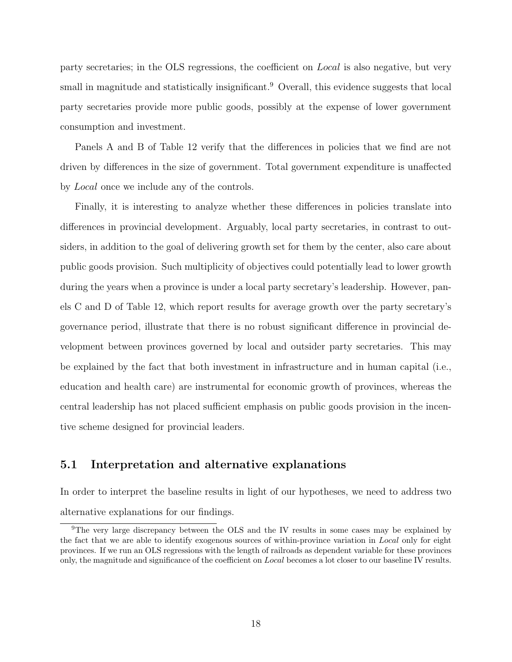party secretaries; in the OLS regressions, the coefficient on Local is also negative, but very small in magnitude and statistically insignificant.<sup>9</sup> Overall, this evidence suggests that local party secretaries provide more public goods, possibly at the expense of lower government consumption and investment.

Panels A and B of Table 12 verify that the differences in policies that we find are not driven by differences in the size of government. Total government expenditure is unaffected by Local once we include any of the controls.

Finally, it is interesting to analyze whether these differences in policies translate into differences in provincial development. Arguably, local party secretaries, in contrast to outsiders, in addition to the goal of delivering growth set for them by the center, also care about public goods provision. Such multiplicity of objectives could potentially lead to lower growth during the years when a province is under a local party secretary's leadership. However, panels C and D of Table 12, which report results for average growth over the party secretary's governance period, illustrate that there is no robust significant difference in provincial development between provinces governed by local and outsider party secretaries. This may be explained by the fact that both investment in infrastructure and in human capital (i.e., education and health care) are instrumental for economic growth of provinces, whereas the central leadership has not placed sufficient emphasis on public goods provision in the incentive scheme designed for provincial leaders.

#### 5.1 Interpretation and alternative explanations

In order to interpret the baseline results in light of our hypotheses, we need to address two alternative explanations for our findings.

<sup>&</sup>lt;sup>9</sup>The very large discrepancy between the OLS and the IV results in some cases may be explained by the fact that we are able to identify exogenous sources of within-province variation in Local only for eight provinces. If we run an OLS regressions with the length of railroads as dependent variable for these provinces only, the magnitude and significance of the coefficient on Local becomes a lot closer to our baseline IV results.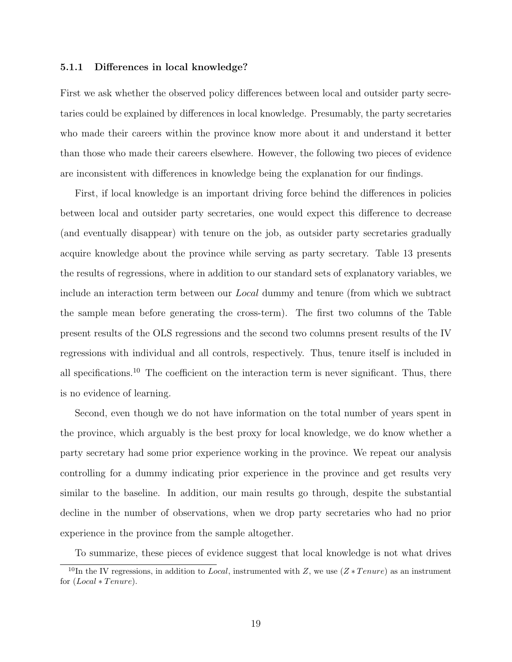#### 5.1.1 Differences in local knowledge?

First we ask whether the observed policy differences between local and outsider party secretaries could be explained by differences in local knowledge. Presumably, the party secretaries who made their careers within the province know more about it and understand it better than those who made their careers elsewhere. However, the following two pieces of evidence are inconsistent with differences in knowledge being the explanation for our findings.

First, if local knowledge is an important driving force behind the differences in policies between local and outsider party secretaries, one would expect this difference to decrease (and eventually disappear) with tenure on the job, as outsider party secretaries gradually acquire knowledge about the province while serving as party secretary. Table 13 presents the results of regressions, where in addition to our standard sets of explanatory variables, we include an interaction term between our Local dummy and tenure (from which we subtract the sample mean before generating the cross-term). The first two columns of the Table present results of the OLS regressions and the second two columns present results of the IV regressions with individual and all controls, respectively. Thus, tenure itself is included in all specifications.<sup>10</sup> The coefficient on the interaction term is never significant. Thus, there is no evidence of learning.

Second, even though we do not have information on the total number of years spent in the province, which arguably is the best proxy for local knowledge, we do know whether a party secretary had some prior experience working in the province. We repeat our analysis controlling for a dummy indicating prior experience in the province and get results very similar to the baseline. In addition, our main results go through, despite the substantial decline in the number of observations, when we drop party secretaries who had no prior experience in the province from the sample altogether.

To summarize, these pieces of evidence suggest that local knowledge is not what drives

 $10<sup>10</sup>$ In the IV regressions, in addition to *Local*, instrumented with Z, we use  $(Z * T$  enure) as an instrument for  $(Local * Tenure).$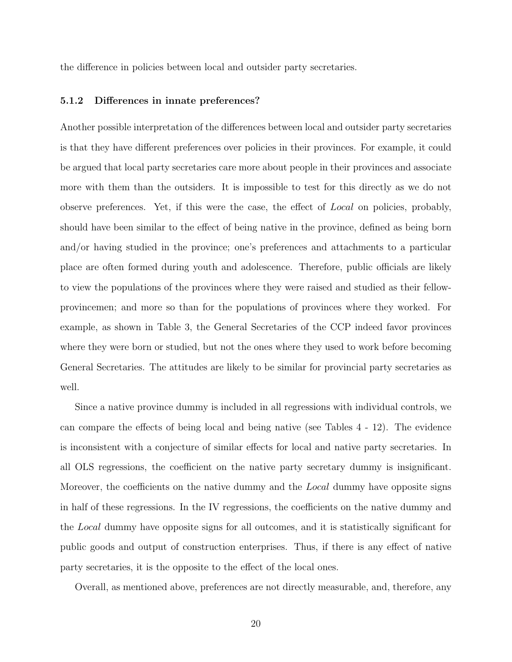the difference in policies between local and outsider party secretaries.

#### 5.1.2 Differences in innate preferences?

Another possible interpretation of the differences between local and outsider party secretaries is that they have different preferences over policies in their provinces. For example, it could be argued that local party secretaries care more about people in their provinces and associate more with them than the outsiders. It is impossible to test for this directly as we do not observe preferences. Yet, if this were the case, the effect of Local on policies, probably, should have been similar to the effect of being native in the province, defined as being born and/or having studied in the province; one's preferences and attachments to a particular place are often formed during youth and adolescence. Therefore, public officials are likely to view the populations of the provinces where they were raised and studied as their fellowprovincemen; and more so than for the populations of provinces where they worked. For example, as shown in Table 3, the General Secretaries of the CCP indeed favor provinces where they were born or studied, but not the ones where they used to work before becoming General Secretaries. The attitudes are likely to be similar for provincial party secretaries as well.

Since a native province dummy is included in all regressions with individual controls, we can compare the effects of being local and being native (see Tables 4 - 12). The evidence is inconsistent with a conjecture of similar effects for local and native party secretaries. In all OLS regressions, the coefficient on the native party secretary dummy is insignificant. Moreover, the coefficients on the native dummy and the *Local* dummy have opposite signs in half of these regressions. In the IV regressions, the coefficients on the native dummy and the Local dummy have opposite signs for all outcomes, and it is statistically significant for public goods and output of construction enterprises. Thus, if there is any effect of native party secretaries, it is the opposite to the effect of the local ones.

Overall, as mentioned above, preferences are not directly measurable, and, therefore, any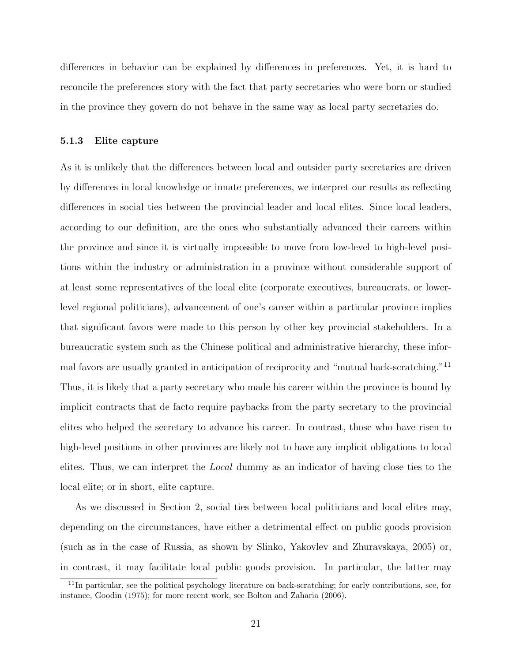differences in behavior can be explained by differences in preferences. Yet, it is hard to reconcile the preferences story with the fact that party secretaries who were born or studied in the province they govern do not behave in the same way as local party secretaries do.

#### 5.1.3 Elite capture

As it is unlikely that the differences between local and outsider party secretaries are driven by differences in local knowledge or innate preferences, we interpret our results as reflecting differences in social ties between the provincial leader and local elites. Since local leaders, according to our definition, are the ones who substantially advanced their careers within the province and since it is virtually impossible to move from low-level to high-level positions within the industry or administration in a province without considerable support of at least some representatives of the local elite (corporate executives, bureaucrats, or lowerlevel regional politicians), advancement of one's career within a particular province implies that significant favors were made to this person by other key provincial stakeholders. In a bureaucratic system such as the Chinese political and administrative hierarchy, these informal favors are usually granted in anticipation of reciprocity and "mutual back-scratching."<sup>11</sup> Thus, it is likely that a party secretary who made his career within the province is bound by implicit contracts that de facto require paybacks from the party secretary to the provincial elites who helped the secretary to advance his career. In contrast, those who have risen to high-level positions in other provinces are likely not to have any implicit obligations to local elites. Thus, we can interpret the Local dummy as an indicator of having close ties to the local elite; or in short, elite capture.

As we discussed in Section 2, social ties between local politicians and local elites may, depending on the circumstances, have either a detrimental effect on public goods provision (such as in the case of Russia, as shown by Slinko, Yakovlev and Zhuravskaya, 2005) or, in contrast, it may facilitate local public goods provision. In particular, the latter may

<sup>11</sup>In particular, see the political psychology literature on back-scratching; for early contributions, see, for instance, Goodin (1975); for more recent work, see Bolton and Zaharia (2006).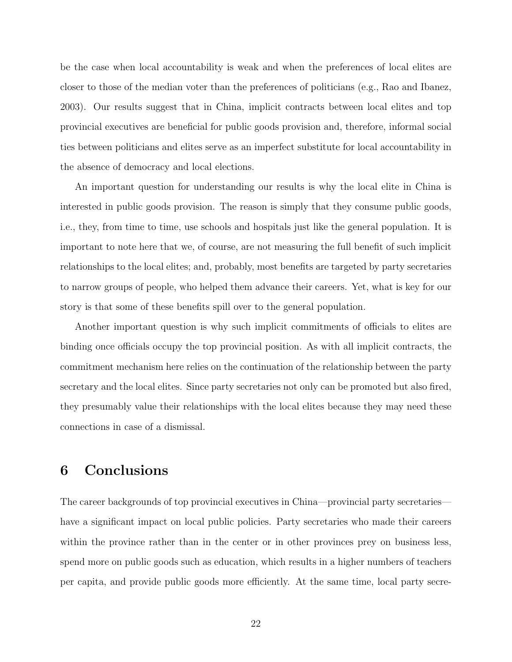be the case when local accountability is weak and when the preferences of local elites are closer to those of the median voter than the preferences of politicians (e.g., Rao and Ibanez, 2003). Our results suggest that in China, implicit contracts between local elites and top provincial executives are beneficial for public goods provision and, therefore, informal social ties between politicians and elites serve as an imperfect substitute for local accountability in the absence of democracy and local elections.

An important question for understanding our results is why the local elite in China is interested in public goods provision. The reason is simply that they consume public goods, i.e., they, from time to time, use schools and hospitals just like the general population. It is important to note here that we, of course, are not measuring the full benefit of such implicit relationships to the local elites; and, probably, most benefits are targeted by party secretaries to narrow groups of people, who helped them advance their careers. Yet, what is key for our story is that some of these benefits spill over to the general population.

Another important question is why such implicit commitments of officials to elites are binding once officials occupy the top provincial position. As with all implicit contracts, the commitment mechanism here relies on the continuation of the relationship between the party secretary and the local elites. Since party secretaries not only can be promoted but also fired, they presumably value their relationships with the local elites because they may need these connections in case of a dismissal.

## 6 Conclusions

The career backgrounds of top provincial executives in China—provincial party secretaries have a significant impact on local public policies. Party secretaries who made their careers within the province rather than in the center or in other provinces prey on business less, spend more on public goods such as education, which results in a higher numbers of teachers per capita, and provide public goods more efficiently. At the same time, local party secre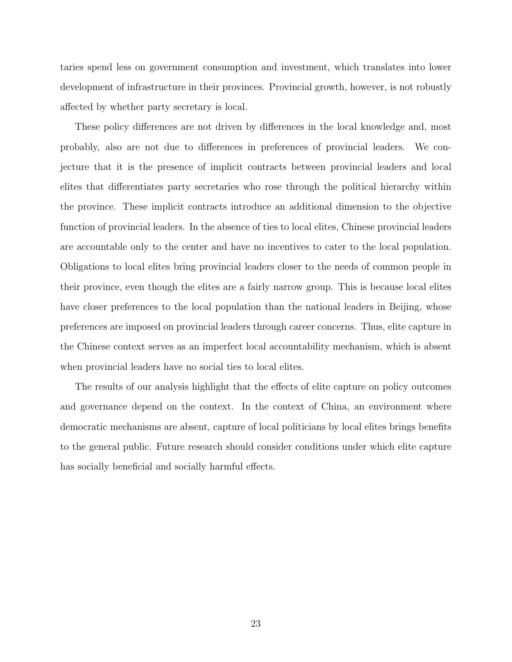taries spend less on government consumption and investment, which translates into lower development of infrastructure in their provinces. Provincial growth, however, is not robustly affected by whether party secretary is local.

These policy differences are not driven by differences in the local knowledge and, most probably, also are not due to differences in preferences of provincial leaders. We conjecture that it is the presence of implicit contracts between provincial leaders and local elites that differentiates party secretaries who rose through the political hierarchy within the province. These implicit contracts introduce an additional dimension to the objective function of provincial leaders. In the absence of ties to local elites, Chinese provincial leaders are accountable only to the center and have no incentives to cater to the local population. Obligations to local elites bring provincial leaders closer to the needs of common people in their province, even though the elites are a fairly narrow group. This is because local elites have closer preferences to the local population than the national leaders in Beijing, whose preferences are imposed on provincial leaders through career concerns. Thus, elite capture in the Chinese context serves as an imperfect local accountability mechanism, which is absent when provincial leaders have no social ties to local elites.

The results of our analysis highlight that the effects of elite capture on policy outcomes and governance depend on the context. In the context of China, an environment where democratic mechanisms are absent, capture of local politicians by local elites brings benefits to the general public. Future research should consider conditions under which elite capture has socially beneficial and socially harmful effects.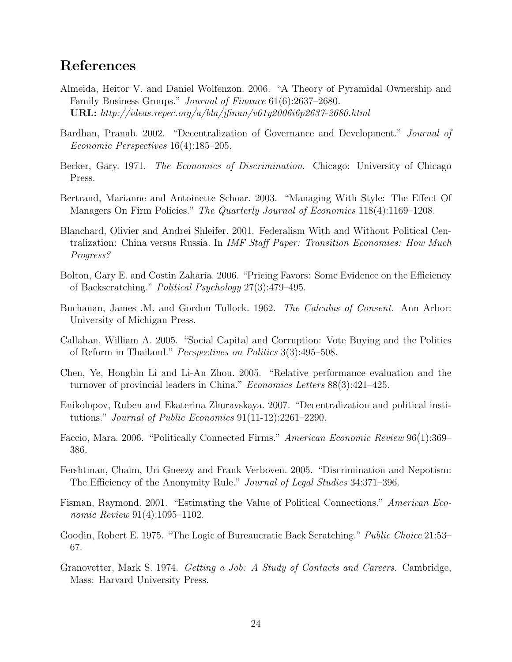## References

- Almeida, Heitor V. and Daniel Wolfenzon. 2006. "A Theory of Pyramidal Ownership and Family Business Groups." Journal of Finance 61(6):2637–2680. URL: http://ideas.repec.org/a/bla/jfinan/v61y2006i6p2637-2680.html
- Bardhan, Pranab. 2002. "Decentralization of Governance and Development." Journal of Economic Perspectives 16(4):185–205.
- Becker, Gary. 1971. The Economics of Discrimination. Chicago: University of Chicago Press.
- Bertrand, Marianne and Antoinette Schoar. 2003. "Managing With Style: The Effect Of Managers On Firm Policies." The Quarterly Journal of Economics 118(4):1169–1208.
- Blanchard, Olivier and Andrei Shleifer. 2001. Federalism With and Without Political Centralization: China versus Russia. In IMF Staff Paper: Transition Economies: How Much Progress?
- Bolton, Gary E. and Costin Zaharia. 2006. "Pricing Favors: Some Evidence on the Efficiency of Backscratching." Political Psychology 27(3):479–495.
- Buchanan, James .M. and Gordon Tullock. 1962. The Calculus of Consent. Ann Arbor: University of Michigan Press.
- Callahan, William A. 2005. "Social Capital and Corruption: Vote Buying and the Politics of Reform in Thailand." Perspectives on Politics 3(3):495–508.
- Chen, Ye, Hongbin Li and Li-An Zhou. 2005. "Relative performance evaluation and the turnover of provincial leaders in China." Economics Letters 88(3):421–425.
- Enikolopov, Ruben and Ekaterina Zhuravskaya. 2007. "Decentralization and political institutions." Journal of Public Economics 91(11-12):2261–2290.
- Faccio, Mara. 2006. "Politically Connected Firms." American Economic Review 96(1):369– 386.
- Fershtman, Chaim, Uri Gneezy and Frank Verboven. 2005. "Discrimination and Nepotism: The Efficiency of the Anonymity Rule." Journal of Legal Studies 34:371–396.
- Fisman, Raymond. 2001. "Estimating the Value of Political Connections." American Economic Review 91(4):1095-1102.
- Goodin, Robert E. 1975. "The Logic of Bureaucratic Back Scratching." *Public Choice* 21:53– 67.
- Granovetter, Mark S. 1974. Getting a Job: A Study of Contacts and Careers. Cambridge, Mass: Harvard University Press.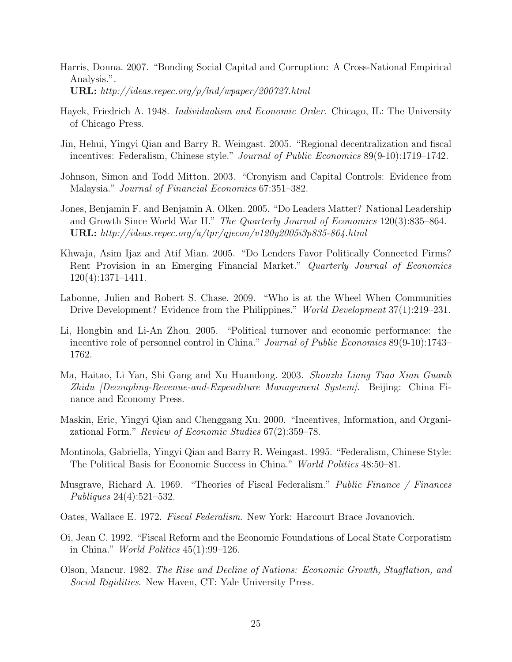- Harris, Donna. 2007. "Bonding Social Capital and Corruption: A Cross-National Empirical Analysis.". URL: http://ideas.repec.org/p/lnd/wpaper/200727.html
- Hayek, Friedrich A. 1948. *Individualism and Economic Order*. Chicago, IL: The University of Chicago Press.
- Jin, Hehui, Yingyi Qian and Barry R. Weingast. 2005. "Regional decentralization and fiscal incentives: Federalism, Chinese style." Journal of Public Economics 89(9-10):1719–1742.
- Johnson, Simon and Todd Mitton. 2003. "Cronyism and Capital Controls: Evidence from Malaysia." Journal of Financial Economics 67:351–382.
- Jones, Benjamin F. and Benjamin A. Olken. 2005. "Do Leaders Matter? National Leadership and Growth Since World War II." The Quarterly Journal of Economics 120(3):835–864. URL: http://ideas.repec.org/a/tpr/qjecon/v120y2005i3p835-864.html
- Khwaja, Asim Ijaz and Atif Mian. 2005. "Do Lenders Favor Politically Connected Firms? Rent Provision in an Emerging Financial Market." Quarterly Journal of Economics 120(4):1371–1411.
- Labonne, Julien and Robert S. Chase. 2009. "Who is at the Wheel When Communities Drive Development? Evidence from the Philippines." World Development 37(1):219–231.
- Li, Hongbin and Li-An Zhou. 2005. "Political turnover and economic performance: the incentive role of personnel control in China." Journal of Public Economics 89(9-10):1743– 1762.
- Ma, Haitao, Li Yan, Shi Gang and Xu Huandong. 2003. Shouzhi Liang Tiao Xian Guanli Zhidu [Decoupling-Revenue-and-Expenditure Management System]. Beijing: China Finance and Economy Press.
- Maskin, Eric, Yingyi Qian and Chenggang Xu. 2000. "Incentives, Information, and Organizational Form." Review of Economic Studies 67(2):359–78.
- Montinola, Gabriella, Yingyi Qian and Barry R. Weingast. 1995. "Federalism, Chinese Style: The Political Basis for Economic Success in China." World Politics 48:50–81.
- Musgrave, Richard A. 1969. "Theories of Fiscal Federalism." Public Finance / Finances Publiques 24(4):521–532.
- Oates, Wallace E. 1972. Fiscal Federalism. New York: Harcourt Brace Jovanovich.
- Oi, Jean C. 1992. "Fiscal Reform and the Economic Foundations of Local State Corporatism in China." World Politics 45(1):99–126.
- Olson, Mancur. 1982. The Rise and Decline of Nations: Economic Growth, Stagflation, and Social Rigidities. New Haven, CT: Yale University Press.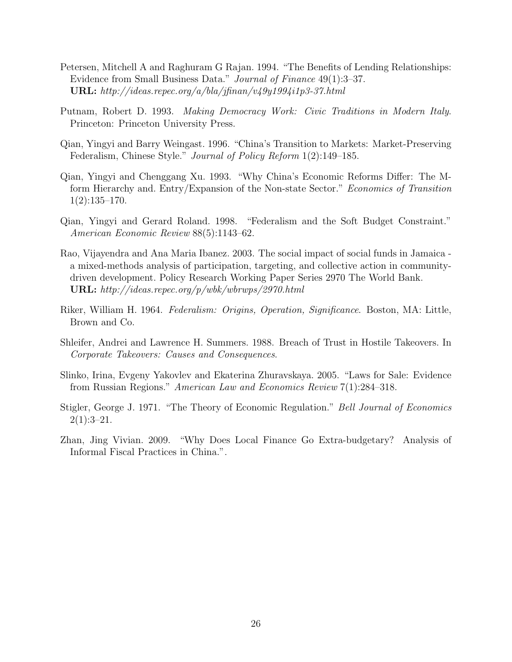- Petersen, Mitchell A and Raghuram G Rajan. 1994. "The Benefits of Lending Relationships: Evidence from Small Business Data." Journal of Finance 49(1):3–37. URL:  $http://deas.repec.org/a/bla/jfinan/v49y1994i1p3-37.html$
- Putnam, Robert D. 1993. Making Democracy Work: Civic Traditions in Modern Italy. Princeton: Princeton University Press.
- Qian, Yingyi and Barry Weingast. 1996. "China's Transition to Markets: Market-Preserving Federalism, Chinese Style." Journal of Policy Reform 1(2):149–185.
- Qian, Yingyi and Chenggang Xu. 1993. "Why China's Economic Reforms Differ: The Mform Hierarchy and. Entry/Expansion of the Non-state Sector." Economics of Transition 1(2):135–170.
- Qian, Yingyi and Gerard Roland. 1998. "Federalism and the Soft Budget Constraint." American Economic Review 88(5):1143–62.
- Rao, Vijayendra and Ana Maria Ibanez. 2003. The social impact of social funds in Jamaica a mixed-methods analysis of participation, targeting, and collective action in communitydriven development. Policy Research Working Paper Series 2970 The World Bank. URL: http://ideas.repec.org/p/wbk/wbrwps/2970.html
- Riker, William H. 1964. Federalism: Origins, Operation, Significance. Boston, MA: Little, Brown and Co.
- Shleifer, Andrei and Lawrence H. Summers. 1988. Breach of Trust in Hostile Takeovers. In Corporate Takeovers: Causes and Consequences.
- Slinko, Irina, Evgeny Yakovlev and Ekaterina Zhuravskaya. 2005. "Laws for Sale: Evidence from Russian Regions." American Law and Economics Review 7(1):284–318.
- Stigler, George J. 1971. "The Theory of Economic Regulation." Bell Journal of Economics  $2(1):3-21.$
- Zhan, Jing Vivian. 2009. "Why Does Local Finance Go Extra-budgetary? Analysis of Informal Fiscal Practices in China.".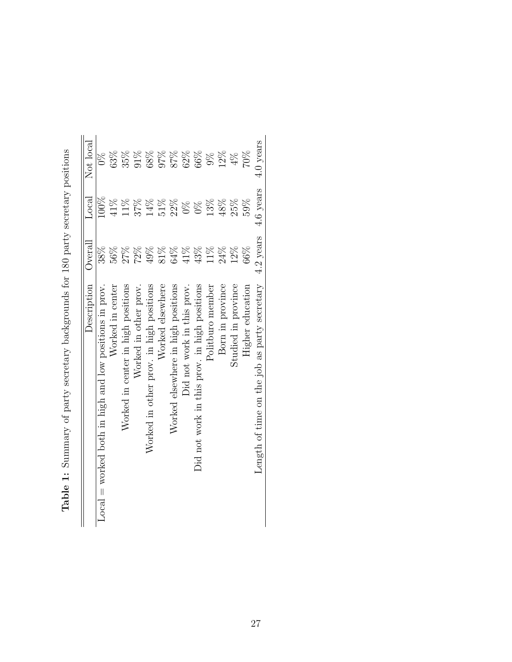| Description                                             | Overal    | $_{\rm Local}$ | Not local     |
|---------------------------------------------------------|-----------|----------------|---------------|
| $Local = worked both in high and low positions in prov$ | 38%       | 100%           | $\frac{8}{2}$ |
| Worked in center                                        | $56\%$    | 41%            | 63%           |
| Worked in center in high positions                      | 27%       | 11%            | $35\%$        |
| Worked in other prov.                                   | 72%       | 37%            | $91\%$        |
| Worked in other prov. in high positions                 | 49%       | 14%            | $68\%$        |
| Worked elsewhere                                        | 81%       | $51\%$         | 97%           |
| Worked elsewhere in high positions                      | 64%       | 22%            | $87\%$        |
| Did not work in this prov.                              | 41%       | $0\%$          | 62%           |
| Did not work in this prov. in high positions            | 43%       | $\frac{8}{2}$  | 66%           |
| Politburo member                                        | 11%       | 13%            | $9\%$         |
| Born in province                                        | 24%       | 48%            | 12%           |
| Studied in province                                     | 12%       | 25%            | $4\%$         |
| Higher education                                        | 66%       | 59%            | $70\%$        |
| Length of time on the job as party secretary            | 4.2 years | 4.6 years      | 4.0 years     |

| re contra contra contra contra contra contra contra contra contra contra contra contra contra contra contra co |
|----------------------------------------------------------------------------------------------------------------|
|                                                                                                                |
| $\frac{1}{2}$                                                                                                  |
| ソール こうしょう しょうしょう                                                                                               |
|                                                                                                                |
| )<br> <br>                                                                                                     |
|                                                                                                                |
| l                                                                                                              |
|                                                                                                                |
| j                                                                                                              |
| i<br>C                                                                                                         |
|                                                                                                                |
| $\frac{1}{2}$<br>֚֚֚֚֓<br>֧֚֚֚֚֚֚֚֝֝<br>֧֚֚֝<br>ĺ                                                              |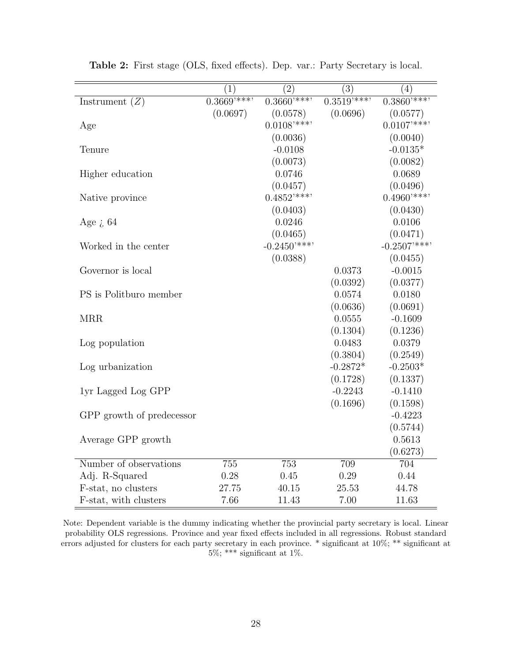|                           | (1)         | $\overline{(2)}$          | $\overline{(3)}$ | $\overline{(4)}$          |
|---------------------------|-------------|---------------------------|------------------|---------------------------|
| Instrument $(Z)$          | $0.3669***$ | $0.\overline{3660^{***}}$ | $0.3519***$      | $0.3860***$               |
|                           | (0.0697)    | (0.0578)                  | (0.0696)         | (0.0577)                  |
| Age                       |             | $0.0108$ '***'            |                  | $0.0107$ '***'            |
|                           |             | (0.0036)                  |                  | (0.0040)                  |
| Tenure                    |             | $-0.0108$                 |                  | $-0.0135*$                |
|                           |             | (0.0073)                  |                  | (0.0082)                  |
| Higher education          |             | 0.0746                    |                  | 0.0689                    |
|                           |             | (0.0457)                  |                  | (0.0496)                  |
| Native province           |             | $0.4852$ <sup>****</sup>  |                  | $0.4960$ '***'            |
|                           |             | (0.0403)                  |                  | (0.0430)                  |
| Age $i$ , 64              |             | 0.0246                    |                  | 0.0106                    |
|                           |             | (0.0465)                  |                  | (0.0471)                  |
| Worked in the center      |             | $-0.2450***$              |                  | $-0.2507$ <sup>****</sup> |
|                           |             | (0.0388)                  |                  | (0.0455)                  |
| Governor is local         |             |                           | 0.0373           | $-0.0015$                 |
|                           |             |                           | (0.0392)         | (0.0377)                  |
| PS is Politburo member    |             |                           | 0.0574           | 0.0180                    |
|                           |             |                           | (0.0636)         | (0.0691)                  |
| <b>MRR</b>                |             |                           | 0.0555           | $-0.1609$                 |
|                           |             |                           | (0.1304)         | (0.1236)                  |
| Log population            |             |                           | 0.0483           | 0.0379                    |
|                           |             |                           | (0.3804)         | (0.2549)                  |
| Log urbanization          |             |                           | $-0.2872*$       | $-0.2503*$                |
|                           |             |                           | (0.1728)         | (0.1337)                  |
| 1yr Lagged Log GPP        |             |                           | $-0.2243$        | $-0.1410$                 |
|                           |             |                           | (0.1696)         | (0.1598)                  |
| GPP growth of predecessor |             |                           |                  | $-0.4223$                 |
|                           |             |                           |                  | (0.5744)                  |
| Average GPP growth        |             |                           |                  | 0.5613                    |
|                           |             |                           |                  | (0.6273)                  |
| Number of observations    | 755         | 753                       | 709              | 704                       |
| Adj. R-Squared            | 0.28        | 0.45                      | 0.29             | 0.44                      |
| F-stat, no clusters       | 27.75       | 40.15                     | 25.53            | 44.78                     |
| F-stat, with clusters     | 7.66        | 11.43                     | 7.00             | 11.63                     |

Table 2: First stage (OLS, fixed effects). Dep. var.: Party Secretary is local.

Note: Dependent variable is the dummy indicating whether the provincial party secretary is local. Linear probability OLS regressions. Province and year fixed effects included in all regressions. Robust standard errors adjusted for clusters for each party secretary in each province. \* significant at 10%; \*\* significant at 5%; \*\*\* significant at 1%.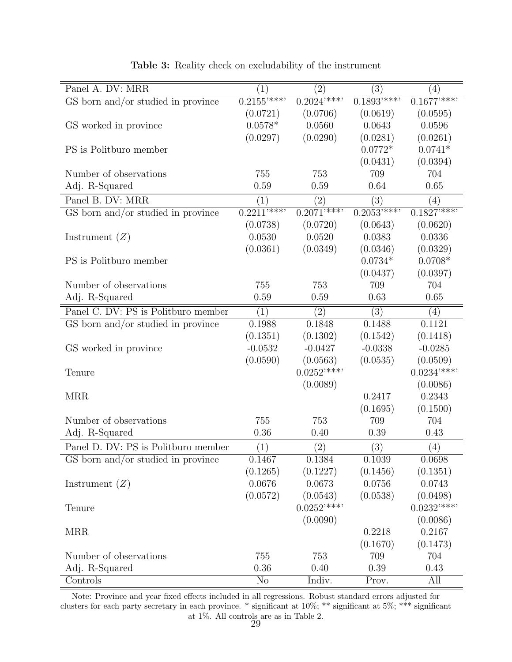| Panel A. DV: MRR                    | (1)                       | $\left( 2\right)$ | $\overline{(3)}$ | $\left(4\right)$  |
|-------------------------------------|---------------------------|-------------------|------------------|-------------------|
| GS born and/or studied in province  | $0.\overline{2155^{***}}$ | $0.2024***$       | $0.1893***$      | $0.1677***$       |
|                                     | (0.0721)                  | (0.0706)          | (0.0619)         | (0.0595)          |
| GS worked in province               | $0.0578*$                 | 0.0560            | 0.0643           | 0.0596            |
|                                     | (0.0297)                  | (0.0290)          | (0.0281)         | (0.0261)          |
| PS is Politburo member              |                           |                   | $0.0772*$        | $0.0741*$         |
|                                     |                           |                   | (0.0431)         | (0.0394)          |
| Number of observations              | 755                       | 753               | 709              | 704               |
| Adj. R-Squared                      | 0.59                      | 0.59              | 0.64             | 0.65              |
| Panel B. DV: MRR                    | (1)                       | $\left( 2\right)$ | (3)              | $\left(4\right)$  |
| GS born and/or studied in province  | $0.2211***$               | $0.2071***$       | $0.2053***$      | $0.1827***$       |
|                                     | (0.0738)                  | (0.0720)          | (0.0643)         | (0.0620)          |
| Instrument $(Z)$                    | 0.0530                    | 0.0520            | 0.0383           | 0.0336            |
|                                     | (0.0361)                  | (0.0349)          | (0.0346)         | (0.0329)          |
| PS is Politburo member              |                           |                   | $0.0734*$        | $0.0708*$         |
|                                     |                           |                   | (0.0437)         | (0.0397)          |
| Number of observations              | 755                       | 753               | 709              | 704               |
| Adj. R-Squared                      | 0.59                      | 0.59              | 0.63             | 0.65              |
| Panel C. DV: PS is Politburo member | (1)                       | $\left( 2\right)$ | (3)              | $\left( 4\right)$ |
| GS born and/or studied in province  | 0.1988                    | 0.1848            | 0.1488           | 0.1121            |
|                                     | (0.1351)                  | (0.1302)          | (0.1542)         | (0.1418)          |
| GS worked in province               | $-0.0532$                 | $-0.0427$         | $-0.0338$        | $-0.0285$         |
|                                     | (0.0590)                  | (0.0563)          | (0.0535)         | (0.0509)          |
| Tenure                              |                           | $0.0252$ '***'    |                  | $0.0234$ '***'    |
|                                     |                           | (0.0089)          |                  | (0.0086)          |
| <b>MRR</b>                          |                           |                   | 0.2417           | 0.2343            |
|                                     |                           |                   | (0.1695)         | (0.1500)          |
| Number of observations              | 755                       | 753               | 709              | 704               |
| Adj. R-Squared                      | 0.36                      | 0.40              | 0.39             | 0.43              |
| Panel D. DV: PS is Politburo member | (1)                       | $\left( 2\right)$ | (3)              | $\left( 4\right)$ |
| GS born and/or studied in province  | 0.1467                    | 0.1384            | 0.1039           | 0.0698            |
|                                     | (0.1265)                  | (0.1227)          | (0.1456)         | (0.1351)          |
| Instrument $(Z)$                    | 0.0676                    | 0.0673            | 0.0756           | 0.0743            |
|                                     | (0.0572)                  | (0.0543)          | (0.0538)         | (0.0498)          |
| Tenure                              |                           | $0.0252$ '***'    |                  | $0.0232***$       |
|                                     |                           | (0.0090)          |                  | (0.0086)          |
| <b>MRR</b>                          |                           |                   | 0.2218           | 0.2167            |
|                                     |                           |                   | (0.1670)         | (0.1473)          |
| Number of observations              | 755                       | 753               | 709              | 704               |
| Adj. R-Squared                      | 0.36                      | 0.40              | 0.39             | 0.43              |
| Controls                            | N <sub>o</sub>            | Indiv.            | Prov.            | All               |

Table 3: Reality check on excludability of the instrument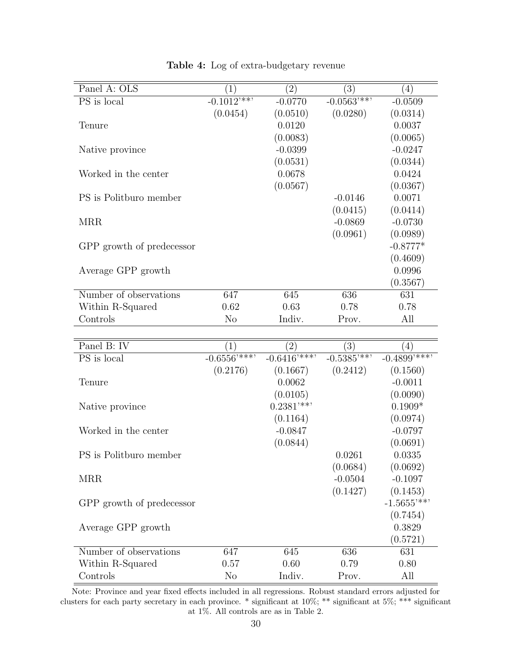| Panel A: OLS              | $\left(1\right)$         | $\left(2\right)$ | $\left( 3\right)$        | (4)        |
|---------------------------|--------------------------|------------------|--------------------------|------------|
| PS is local               | $-0.1012$ <sup>***</sup> | $-0.0770$        | $-0.0563$ <sup>***</sup> | $-0.0509$  |
|                           | (0.0454)                 | (0.0510)         | (0.0280)                 | (0.0314)   |
| Tenure                    |                          | 0.0120           |                          | 0.0037     |
|                           |                          | (0.0083)         |                          | (0.0065)   |
| Native province           |                          | $-0.0399$        |                          | $-0.0247$  |
|                           |                          | (0.0531)         |                          | (0.0344)   |
| Worked in the center      |                          | 0.0678           |                          | 0.0424     |
|                           |                          | (0.0567)         |                          | (0.0367)   |
| PS is Politburo member    |                          |                  | $-0.0146$                | 0.0071     |
|                           |                          |                  | (0.0415)                 | (0.0414)   |
| <b>MRR</b>                |                          |                  | $-0.0869$                | $-0.0730$  |
|                           |                          |                  | (0.0961)                 | (0.0989)   |
| GPP growth of predecessor |                          |                  |                          | $-0.8777*$ |
|                           |                          |                  |                          | (0.4609)   |
| Average GPP growth        |                          |                  |                          | 0.0996     |
|                           |                          |                  |                          | (0.3567)   |
| Number of observations    | 647                      | 645              | 636                      | 631        |
| Within R-Squared          | 0.62                     | 0.63             | 0.78                     | 0.78       |
| Controls                  | N <sub>o</sub>           | Indiv.           | Prov.                    | All        |
|                           |                          |                  |                          |            |

Table 4: Log of extra-budgetary revenue

| Panel B: IV               | $\left(1\right)$       | $\left(2\right)$          | $\left( 3\right)$        | 4)                       |
|---------------------------|------------------------|---------------------------|--------------------------|--------------------------|
| PS is local               | $-0.6556^{\frac{1}{7}$ | $-0.6416$ <sup>****</sup> | $-0.5385$ <sup>***</sup> | $-0.4899$ '***'          |
|                           | (0.2176)               | (0.1667)                  | (0.2412)                 | (0.1560)                 |
| Tenure                    |                        | 0.0062                    |                          | $-0.0011$                |
|                           |                        | (0.0105)                  |                          | (0.0090)                 |
| Native province           |                        | $0.2381$ '**'             |                          | $0.1909*$                |
|                           |                        | (0.1164)                  |                          | (0.0974)                 |
| Worked in the center      |                        | $-0.0847$                 |                          | $-0.0797$                |
|                           |                        | (0.0844)                  |                          | (0.0691)                 |
| PS is Politburo member    |                        |                           | 0.0261                   | 0.0335                   |
|                           |                        |                           | (0.0684)                 | (0.0692)                 |
| <b>MRR</b>                |                        |                           | $-0.0504$                | $-0.1097$                |
|                           |                        |                           | (0.1427)                 | (0.1453)                 |
| GPP growth of predecessor |                        |                           |                          | $-1.5655$ <sup>***</sup> |
|                           |                        |                           |                          | (0.7454)                 |
| Average GPP growth        |                        |                           |                          | 0.3829                   |
|                           |                        |                           |                          | (0.5721)                 |
| Number of observations    | 647                    | 645                       | 636                      | 631                      |
| Within R-Squared          | 0.57                   | 0.60                      | 0.79                     | 0.80                     |
| Controls                  | N <sub>o</sub>         | Indiv.                    | Prov.                    | All                      |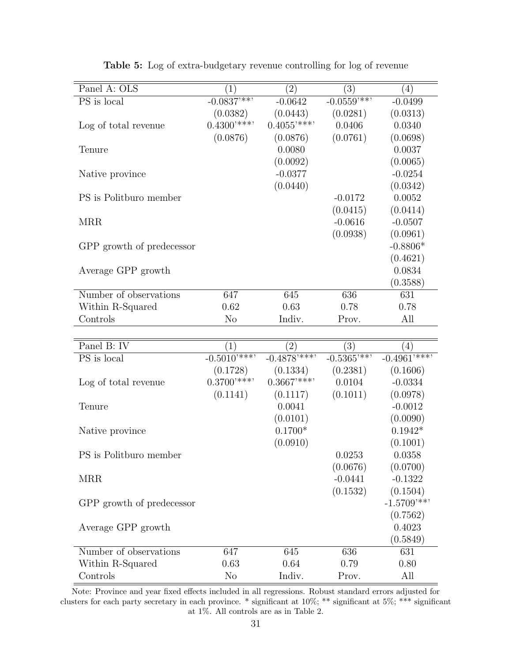| Panel A: OLS              | $1^{\circ}$              | $\left( 2\right)$ | $\left(3\right)$         | $\left(4\right)$ |
|---------------------------|--------------------------|-------------------|--------------------------|------------------|
| PS is local               | $-0.0837$ <sup>***</sup> | $-0.0642$         | $-0.0559$ <sup>***</sup> | $-0.0499$        |
|                           | (0.0382)                 | (0.0443)          | (0.0281)                 | (0.0313)         |
| Log of total revenue      | $0.4300$ '***'           | $0.4055$ '***'    | 0.0406                   | 0.0340           |
|                           | (0.0876)                 | (0.0876)          | (0.0761)                 | (0.0698)         |
| Tenure                    |                          | 0.0080            |                          | 0.0037           |
|                           |                          | (0.0092)          |                          | (0.0065)         |
| Native province           |                          | $-0.0377$         |                          | $-0.0254$        |
|                           |                          | (0.0440)          |                          | (0.0342)         |
| PS is Politburo member    |                          |                   | $-0.0172$                | 0.0052           |
|                           |                          |                   | (0.0415)                 | (0.0414)         |
| <b>MRR</b>                |                          |                   | $-0.0616$                | $-0.0507$        |
|                           |                          |                   | (0.0938)                 | (0.0961)         |
| GPP growth of predecessor |                          |                   |                          | $-0.8806*$       |
|                           |                          |                   |                          | (0.4621)         |
| Average GPP growth        |                          |                   |                          | 0.0834           |
|                           |                          |                   |                          | (0.3588)         |
| Number of observations    | 647                      | 645               | 636                      | 631              |
| Within R-Squared          | 0.62                     | 0.63              | 0.78                     | 0.78             |
| Controls                  | N <sub>o</sub>           | Indiv.            | Prov.                    | All              |

|  |  | <b>Table 5:</b> Log of extra-budgetary revenue controlling for log of revenue |  |  |
|--|--|-------------------------------------------------------------------------------|--|--|
|  |  |                                                                               |  |  |

| Panel B: IV               | $\left  \right $            | $\left(2\right)$ | $\left(3\right)$         | $\left( 4\right)$         |
|---------------------------|-----------------------------|------------------|--------------------------|---------------------------|
| PS is local               | $-0.501\overline{0'^{***}}$ | $-0.4878***$     | $-0.5365$ <sup>***</sup> | $-0.4961$ <sup>****</sup> |
|                           | (0.1728)                    | (0.1334)         | (0.2381)                 | (0.1606)                  |
| Log of total revenue      | $0.3700$ '***'              | $0.3667$ '***'   | 0.0104                   | $-0.0334$                 |
|                           | (0.1141)                    | (0.1117)         | (0.1011)                 | (0.0978)                  |
| Tenure                    |                             | 0.0041           |                          | $-0.0012$                 |
|                           |                             | (0.0101)         |                          | (0.0090)                  |
| Native province           |                             | $0.1700*$        |                          | $0.1942*$                 |
|                           |                             | (0.0910)         |                          | (0.1001)                  |
| PS is Politburo member    |                             |                  | 0.0253                   | 0.0358                    |
|                           |                             |                  | (0.0676)                 | (0.0700)                  |
| <b>MRR</b>                |                             |                  | $-0.0441$                | $-0.1322$                 |
|                           |                             |                  | (0.1532)                 | (0.1504)                  |
| GPP growth of predecessor |                             |                  |                          | $-1.5709$ <sup>***</sup>  |
|                           |                             |                  |                          | (0.7562)                  |
| Average GPP growth        |                             |                  |                          | 0.4023                    |
|                           |                             |                  |                          | (0.5849)                  |
| Number of observations    | 647                         | 645              | 636                      | 631                       |
| Within R-Squared          | 0.63                        | 0.64             | 0.79                     | 0.80                      |
| Controls                  | $\rm No$                    | Indiv.           | Prov.                    | All                       |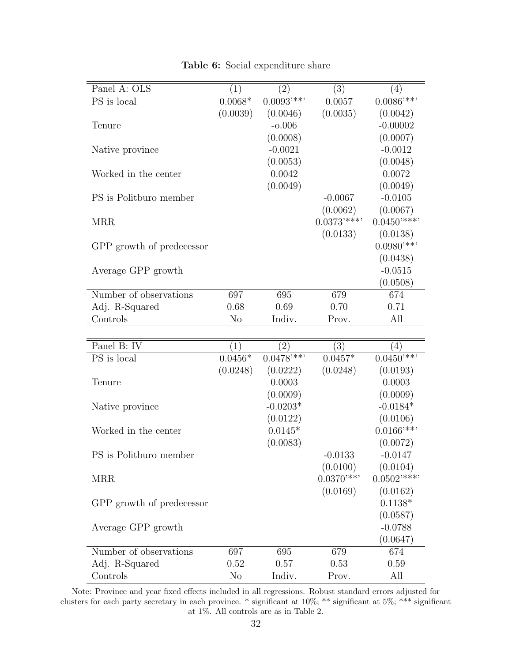| Panel A: OLS                      | (1)            | $\left( 2\right)$ | (3)            | (4)                     |
|-----------------------------------|----------------|-------------------|----------------|-------------------------|
| PS is local                       | $0.0068*$      | $0.0093$ '**'     | 0.0057         | $0.0086$ <sup>***</sup> |
|                                   | (0.0039)       | (0.0046)          | (0.0035)       | (0.0042)                |
| Tenure                            |                | $-0.006$          |                | $-0.00002$              |
|                                   |                | (0.0008)          |                | (0.0007)                |
| Native province                   |                | $-0.0021$         |                | $-0.0012$               |
|                                   |                | (0.0053)          |                | (0.0048)                |
| Worked in the center              |                | 0.0042            |                | 0.0072                  |
|                                   |                | (0.0049)          |                | (0.0049)                |
| PS is Politburo member            |                |                   | $-0.0067$      | $-0.0105$               |
|                                   |                |                   | (0.0062)       | (0.0067)                |
| <b>MRR</b>                        |                |                   | $0.0373$ '***' | $0.0450***$             |
|                                   |                |                   | (0.0133)       | (0.0138)                |
| GPP growth of predecessor         |                |                   |                | $0.0980**$              |
|                                   |                |                   |                | (0.0438)                |
| Average GPP growth                |                |                   |                | $-0.0515$               |
|                                   |                |                   |                | (0.0508)                |
| Number of observations            | 697            | 695               | 679            | 674                     |
| Adj. R-Squared                    | 0.68           | 0.69              | 0.70           | 0.71                    |
| Controls                          | N <sub>o</sub> | Indiv.            | Prov.          | All                     |
|                                   |                |                   |                |                         |
| Panel B: IV                       | (1)            | $\left( 2\right)$ | $\bar{3})$     | $\left( 4\right)$       |
| $\overline{\mathrm{PS}}$ is local | $0.0456*$      | $0.0478***$       | $0.0457*$      | $0.0450***$             |
|                                   | (0.0248)       | (0.0222)          | (0.0248)       | (0.0193)                |
| Tenure                            |                | 0.0003            |                | 0.0003                  |
|                                   |                | (0.0009)          |                | (0.0009)                |
| Native province                   |                | $-0.0203*$        |                | $-0.0184*$              |
|                                   |                | (0.0122)          |                | (0.0106)                |
| Worked in the center              |                | $0.0145*$         |                | $0.0166$ '**'           |
|                                   |                | (0.0083)          |                | (0.0072)                |
| PS is Politburo member            |                |                   | $-0.0133$      | $-0.0147$               |
|                                   |                |                   | (0.0100)       | (0.0104)                |
| <b>MRR</b>                        |                |                   | $0.0370**$     | $0.0502$ '***'          |
|                                   |                |                   | (0.0169)       | (0.0162)                |
| GPP growth of predecessor         |                |                   |                | $0.1138*$               |
|                                   |                |                   |                | (0.0587)                |
| Average GPP growth                |                |                   |                | $-0.0788$               |
|                                   |                |                   |                | (0.0647)                |
| Number of observations            | 697            | 695               | 679            | 674                     |
| Adj. R-Squared                    | 0.52           | 0.57              | 0.53           | 0.59                    |
| Controls                          | $\rm No$       | Indiv.            | Prov.          | All                     |

Table 6: Social expenditure share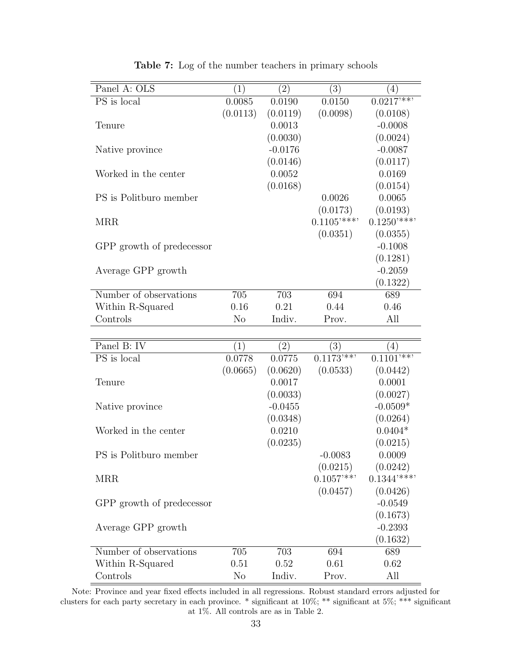| Panel A: OLS                      | (1)            | $\left( 2\right)$ | (3)                      | $\left( 4\right)$     |
|-----------------------------------|----------------|-------------------|--------------------------|-----------------------|
| $\overline{\mathrm{PS}}$ is local | 0.0085         | 0.0190            | 0.0150                   | $0.0217***$           |
|                                   |                | (0.0119)          | (0.0098)                 |                       |
| Tenure                            | (0.0113)       | 0.0013            |                          | (0.0108)<br>$-0.0008$ |
|                                   |                |                   |                          |                       |
|                                   |                | (0.0030)          |                          | (0.0024)              |
| Native province                   |                | $-0.0176$         |                          | $-0.0087$             |
|                                   |                | (0.0146)          |                          | (0.0117)              |
| Worked in the center              |                | 0.0052            |                          | 0.0169                |
|                                   |                | (0.0168)          |                          | (0.0154)              |
| PS is Politburo member            |                |                   | 0.0026                   | 0.0065                |
|                                   |                |                   | (0.0173)                 | (0.0193)              |
| MRR                               |                |                   | $0.1105$ <sup>****</sup> | $0.1250***$           |
|                                   |                |                   | (0.0351)                 | (0.0355)              |
| GPP growth of predecessor         |                |                   |                          | $-0.1008$             |
|                                   |                |                   |                          | (0.1281)              |
| Average GPP growth                |                |                   |                          | $-0.2059$             |
|                                   |                |                   |                          | (0.1322)              |
| Number of observations            | 705            | 703               | 694                      | 689                   |
| Within R-Squared                  | 0.16           | 0.21              | 0.44                     | 0.46                  |
| Controls                          | N <sub>o</sub> | Indiv.            | Prov.                    | All                   |
|                                   |                |                   |                          |                       |
| Panel B: IV                       | (1)            | (2)               | (3)                      | $\left( 4\right)$     |
| PS is local                       | 0.0778         | 0.0775            | $0.1173***$              | $0.1101***$           |
|                                   | (0.0665)       | (0.0620)          | (0.0533)                 | (0.0442)              |
| Tenure                            |                | 0.0017            |                          | 0.0001                |
|                                   |                | (0.0033)          |                          | (0.0027)              |
| Native province                   |                | $-0.0455$         |                          | $-0.0509*$            |
|                                   |                | (0.0348)          |                          | (0.0264)              |
| Worked in the center              |                | 0.0210            |                          | $0.0404*$             |
|                                   |                | (0.0235)          |                          | (0.0215)              |
| PS is Politburo member            |                |                   | $-0.0083$                | 0.0009                |
|                                   |                |                   | (0.0215)                 | (0.0242)              |
| <b>MRR</b>                        |                |                   | $0.1057$ <sup>***</sup>  | $0.1344$ '***'        |
|                                   |                |                   | (0.0457)                 | (0.0426)              |
|                                   |                |                   |                          | $-0.0549$             |
| GPP growth of predecessor         |                |                   |                          |                       |
|                                   |                |                   |                          | (0.1673)              |
| Average GPP growth                |                |                   |                          | $-0.2393$             |
|                                   |                |                   |                          | (0.1632)              |
| Number of observations            | 705            | 703               | 694                      | 689                   |
| Within R-Squared                  | 0.51           | 0.52              | 0.61                     | 0.62                  |
| Controls                          | N <sub>o</sub> | Indiv.            | Prov.                    | All                   |

Table 7: Log of the number teachers in primary schools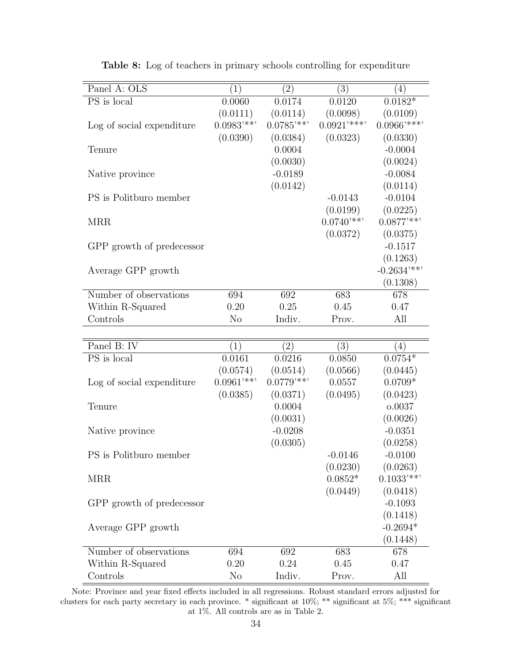| Panel A: OLS              | (1)            | (2)                     | $\overline{(3)}$ | (4)                      |
|---------------------------|----------------|-------------------------|------------------|--------------------------|
| PS is local               | 0.0060         | 0.0174                  | 0.0120           | $0.0182*$                |
|                           | (0.0111)       | (0.0114)                | (0.0098)         | (0.0109)                 |
| Log of social expenditure | $0.0983***$    | $0.0785**$              | $0.0921$ '***'   | $0.0966$ '***'           |
|                           | (0.0390)       | (0.0384)                | (0.0323)         | (0.0330)                 |
| Tenure                    |                | 0.0004                  |                  | $-0.0004$                |
|                           |                | (0.0030)                |                  | (0.0024)                 |
| Native province           |                | $-0.0189$               |                  | $-0.0084$                |
|                           |                | (0.0142)                |                  | (0.0114)                 |
| PS is Politburo member    |                |                         | $-0.0143$        | $-0.0104$                |
|                           |                |                         | (0.0199)         | (0.0225)                 |
| <b>MRR</b>                |                |                         | $0.0740**$       | $0.0877$ '**'            |
|                           |                |                         | (0.0372)         | (0.0375)                 |
| GPP growth of predecessor |                |                         |                  | $-0.1517$                |
|                           |                |                         |                  | (0.1263)                 |
| Average GPP growth        |                |                         |                  | $-0.2634$ <sup>***</sup> |
|                           |                |                         |                  | (0.1308)                 |
| Number of observations    | 694            | 692                     | 683              | 678                      |
| Within R-Squared          | 0.20           | 0.25                    | 0.45             | 0.47                     |
| Controls                  | N <sub>o</sub> | Indiv.                  | Prov.            | All                      |
|                           |                |                         |                  |                          |
| Panel B: IV               | (1)            | (2)                     | (3)              | (4)                      |
| PS is local               | 0.0161         | 0.0216                  | 0.0850           | $0.0754*$                |
|                           | (0.0574)       | (0.0514)                | (0.0566)         | (0.0445)                 |
| Log of social expenditure | $0.0961$ '**'  | $0.0779$ <sup>***</sup> | 0.0557           | $0.0709*$                |
|                           | (0.0385)       | (0.0371)                | (0.0495)         | (0.0423)                 |
| Tenure                    |                | 0.0004                  |                  | o.0037                   |
|                           |                | (0.0031)                |                  | (0.0026)                 |
| Native province           |                | $-0.0208$               |                  | $-0.0351$                |
|                           |                | (0.0305)                |                  | (0.0258)                 |
| PS is Politburo member    |                |                         | $-0.0146$        | $-0.0100$                |
|                           |                |                         | (0.0230)         | (0.0263)                 |
| <b>MRR</b>                |                |                         | $0.0852*$        | $0.1033$ <sup>***</sup>  |
|                           |                |                         | (0.0449)         | (0.0418)                 |
| GPP growth of predecessor |                |                         |                  | $-0.1093$                |
|                           |                |                         |                  | (0.1418)                 |
| Average GPP growth        |                |                         |                  | $-0.2694*$               |
|                           |                |                         |                  | (0.1448)                 |
| Number of observations    | 694            | 692                     | 683              | 678                      |
| Within R-Squared          | 0.20           | 0.24                    | 0.45             | 0.47                     |
| Controls                  | $\rm No$       | Indiv.                  | Prov.            | All                      |

Table 8: Log of teachers in primary schools controlling for expenditure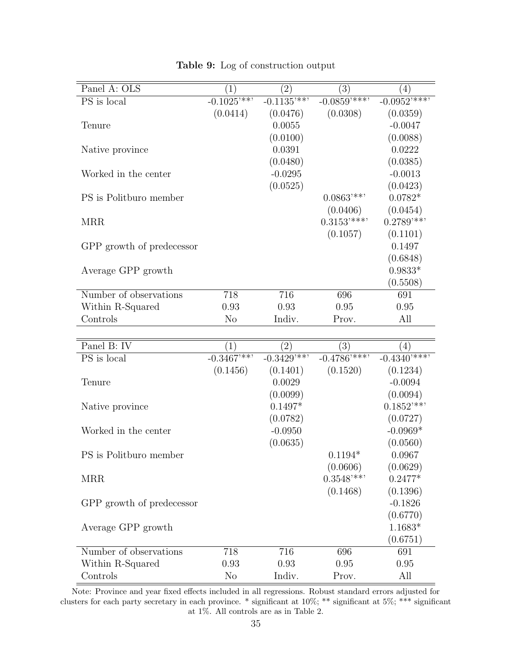| Panel A: OLS              | $\left(1\right)$ | $\left( 2\right)$ | (3)                       | (4)                     |
|---------------------------|------------------|-------------------|---------------------------|-------------------------|
| PS is local               | $-0.1025***$     | $-0.1135***$      | $-0.0859***$              | $-0.0952***$            |
|                           | (0.0414)         | (0.0476)          | (0.0308)                  | (0.0359)                |
| Tenure                    |                  | 0.0055            |                           | $-0.0047$               |
|                           |                  | (0.0100)          |                           | (0.0088)                |
| Native province           |                  | 0.0391            |                           | 0.0222                  |
|                           |                  | (0.0480)          |                           | (0.0385)                |
| Worked in the center      |                  | $-0.0295$         |                           | $-0.0013$               |
|                           |                  | (0.0525)          |                           | (0.0423)                |
| PS is Politburo member    |                  |                   | $0.0863$ '**'             | $0.0782*$               |
|                           |                  |                   | (0.0406)                  | (0.0454)                |
| <b>MRR</b>                |                  |                   | $0.3153$ '***'            | $0.2789**$              |
|                           |                  |                   | (0.1057)                  | (0.1101)                |
| GPP growth of predecessor |                  |                   |                           | 0.1497                  |
|                           |                  |                   |                           | (0.6848)                |
| Average GPP growth        |                  |                   |                           | $0.9833*$               |
|                           |                  |                   |                           | (0.5508)                |
| Number of observations    | 718              | 716               | 696                       | 691                     |
| Within R-Squared          | 0.93             | 0.93              | 0.95                      | 0.95                    |
| Controls                  | N <sub>o</sub>   | Indiv.            | Prov.                     | All                     |
|                           |                  |                   |                           |                         |
| Panel B: IV               | (1)              | (2)               | (3)                       | $\left(4\right)$        |
| PS is local               | $-0.3467***$     | $-0.3429***$      | $-0.4786$ <sup>****</sup> | $-0.4340***$            |
|                           | (0.1456)         | (0.1401)          | (0.1520)                  | (0.1234)                |
| Tenure                    |                  | 0.0029            |                           | $-0.0094$               |
|                           |                  | (0.0099)          |                           | (0.0094)                |
| Native province           |                  | $0.1497*$         |                           | $0.1852$ <sup>***</sup> |
|                           |                  | (0.0782)          |                           | (0.0727)                |
| Worked in the center      |                  | $-0.0950$         |                           | $-0.0969*$              |
|                           |                  | (0.0635)          |                           | (0.0560)                |
| PS is Politburo member    |                  |                   | $0.1194*$                 | 0.0967                  |
|                           |                  |                   | (0.0000)                  | (0.000)                 |

Table 9: Log of construction output

| Tenure                    | (0.1456)       | (0.1401)<br>0.0029<br>(0.0099) | (0.1520)                            | (0.1234)<br>$-0.0094$<br>(0.0094) |
|---------------------------|----------------|--------------------------------|-------------------------------------|-----------------------------------|
| Native province           |                | $0.1497*$                      |                                     | $0.1852$ <sup>***</sup>           |
| Worked in the center      |                | (0.0782)<br>$-0.0950$          |                                     | (0.0727)<br>$-0.0969*$            |
| PS is Politburo member    |                | (0.0635)                       | $0.1194*$                           | (0.0560)<br>0.0967                |
| <b>MRR</b>                |                |                                | (0.0606)<br>$0.3548$ <sup>***</sup> | (0.0629)<br>$0.2477*$             |
| GPP growth of predecessor |                |                                | (0.1468)                            | (0.1396)<br>$-0.1826$             |
| Average GPP growth        |                |                                |                                     | (0.6770)<br>$1.1683*$             |
|                           |                |                                |                                     | (0.6751)                          |
| Number of observations    | 718            | 716                            | 696                                 | 691                               |
| Within R-Squared          | 0.93           | 0.93                           | 0.95                                | 0.95                              |
| Controls                  | N <sub>o</sub> | Indiv.                         | Prov.                               | All                               |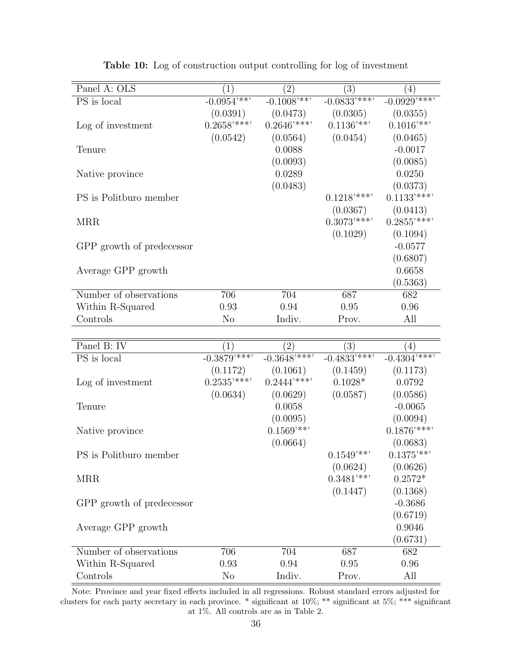| Panel A: OLS                      | (1)                      | $\overline{(2)}$        | $\overline{(3)}$        | (4)                       |
|-----------------------------------|--------------------------|-------------------------|-------------------------|---------------------------|
| $\overline{\mathrm{PS}}$ is local | $-0.0954***$             | $-0.1008***$            | $-0.0833***$            | $-0.0929***$              |
|                                   | (0.0391)                 | (0.0473)                | (0.0305)                | (0.0355)                  |
| Log of investment                 | $0.2658$ <sup>****</sup> | $0.2646$ '***'          | $0.1136$ <sup>***</sup> | $0.1016$ <sup>***</sup>   |
|                                   | (0.0542)                 | (0.0564)                | (0.0454)                | (0.0465)                  |
| Tenure                            |                          | 0.0088                  |                         | $-0.0017$                 |
|                                   |                          | (0.0093)                |                         | (0.0085)                  |
| Native province                   |                          | 0.0289                  |                         | 0.0250                    |
|                                   |                          | (0.0483)                |                         | (0.0373)                  |
| PS is Politburo member            |                          |                         | $0.1218***$             | $0.1133$ '***'            |
|                                   |                          |                         | (0.0367)                | (0.0413)                  |
| <b>MRR</b>                        |                          |                         | $0.3073$ '***'          | $0.2855$ '***'            |
|                                   |                          |                         | (0.1029)                | (0.1094)                  |
| GPP growth of predecessor         |                          |                         |                         | $-0.0577$                 |
|                                   |                          |                         |                         | (0.6807)                  |
| Average GPP growth                |                          |                         |                         | 0.6658                    |
|                                   |                          |                         |                         | (0.5363)                  |
| Number of observations            | 706                      | 704                     | 687                     | 682                       |
| Within R-Squared                  | 0.93                     | 0.94                    | 0.95                    | 0.96                      |
| Controls                          | N <sub>o</sub>           | Indiv.                  | Prov.                   | All                       |
|                                   |                          |                         |                         |                           |
| Panel B: IV                       | (1)                      | (2)                     | (3)                     | (4)                       |
| $\overline{\mathrm{PS}}$ is local | $-0.3879***$             | $-0.3648***$            | $-0.4833***$            | $-0.4304$ <sup>****</sup> |
|                                   | (0.1172)                 | (0.1061)                | (0.1459)                | (0.1173)                  |
| Log of investment                 | $0.2535$ '***'           | $0.2444***$             | $0.1028*$               | 0.0792                    |
|                                   | (0.0634)                 | (0.0629)                | (0.0587)                | (0.0586)                  |
| Tenure                            |                          | 0.0058                  |                         | $-0.0065$                 |
|                                   |                          | (0.0095)                |                         | (0.0094)                  |
| Native province                   |                          | $0.1569$ <sup>***</sup> |                         | $0.1876$ '***'            |
|                                   |                          | (0.0664)                |                         | (0.0683)                  |
| PS is Politburo member            |                          |                         | $0.1549**$              | $0.1375***$               |
|                                   |                          |                         | (0.0624)                | (0.0626)                  |
| <b>MRR</b>                        |                          |                         | $0.3481$ <sup>***</sup> | $0.2572*$                 |

Table 10: Log of construction output controlling for log of investment

GPP growth of predecessor -0.3686

Average GPP growth 0.9046

Number of observations 706 704 687 682 Within R-Squared 0.93 0.94 0.95 0.96 Controls No Indiv. Prov. All

 $(0.1447)$   $(0.1368)$ 

(0.6719)

(0.6731)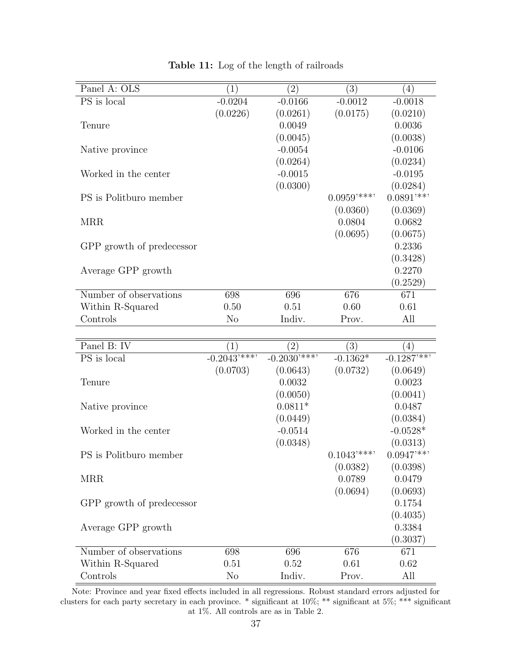| Panel A: OLS              | $\left( 1\right)$ | $\left( 2\right)$                 | $\left( 3\right)$        | (4)                      |
|---------------------------|-------------------|-----------------------------------|--------------------------|--------------------------|
| PS is local               | $-0.0204$         | $-0.0166$                         | $-0.0012$                | $-0.0018$                |
|                           | (0.0226)          | (0.0261)                          | (0.0175)                 | (0.0210)                 |
| Tenure                    |                   | 0.0049                            |                          | 0.0036                   |
|                           |                   | (0.0045)                          |                          | (0.0038)                 |
| Native province           |                   | $-0.0054$                         |                          | $-0.0106$                |
|                           |                   | (0.0264)                          |                          | (0.0234)                 |
| Worked in the center      |                   | $-0.0015$                         |                          | $-0.0195$                |
|                           |                   | (0.0300)                          |                          | (0.0284)                 |
| PS is Politburo member    |                   |                                   | $0.0959$ '***'           | $0.0891$ '**'            |
|                           |                   |                                   | (0.0360)                 | (0.0369)                 |
| <b>MRR</b>                |                   |                                   | 0.0804                   | 0.0682                   |
|                           |                   |                                   | (0.0695)                 | (0.0675)                 |
| GPP growth of predecessor |                   |                                   |                          | 0.2336                   |
|                           |                   |                                   |                          | (0.3428)                 |
| Average GPP growth        |                   |                                   |                          | 0.2270                   |
|                           |                   |                                   |                          | (0.2529)                 |
| Number of observations    | 698               | 696                               | 676                      | 671                      |
| Within R-Squared          | 0.50              | 0.51<br>0.60                      |                          | 0.61                     |
| Controls                  | $\rm No$          | Indiv.                            | Prov.                    | All                      |
|                           |                   |                                   |                          |                          |
|                           |                   |                                   |                          |                          |
| Panel B: IV               | (1)               |                                   | (3)                      | (4)                      |
| PS is local               | $-0.2043***$      | $\left( 2\right)$<br>$-0.2030***$ | $-0.1362*$               | $-0.1287$ <sup>***</sup> |
|                           | (0.0703)          | (0.0643)                          | (0.0732)                 | (0.0649)                 |
| Tenure                    |                   | 0.0032                            |                          | 0.0023                   |
|                           |                   | (0.0050)                          |                          | (0.0041)                 |
|                           |                   | $0.0811*$                         |                          | 0.0487                   |
| Native province           |                   | (0.0449)                          |                          |                          |
| Worked in the center      |                   | $-0.0514$                         |                          | (0.0384)<br>$-0.0528*$   |
|                           |                   | (0.0348)                          |                          | (0.0313)                 |
| PS is Politburo member    |                   |                                   | $0.1043$ <sup>****</sup> | $0.0947$ <sup>***</sup>  |
|                           |                   |                                   |                          | (0.0398)                 |
| <b>MRR</b>                |                   |                                   | (0.0382)<br>0.0789       | 0.0479                   |
|                           |                   |                                   |                          |                          |
|                           |                   |                                   | (0.0694)                 | (0.0693)<br>0.1754       |
| GPP growth of predecessor |                   |                                   |                          | (0.4035)                 |
| Average GPP growth        |                   |                                   |                          | 0.3384                   |
|                           |                   |                                   |                          | (0.3037)                 |
| Number of observations    | 698               | 696                               | 676                      | 671                      |

Table 11: Log of the length of railroads

Controls No Indiv. Prov. All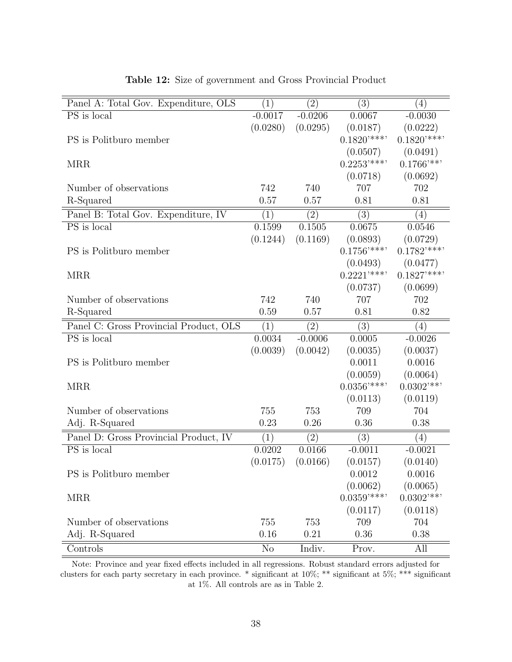| Panel A: Total Gov. Expenditure, OLS   | (1)               | (2)               | (3)              | (4)                     |
|----------------------------------------|-------------------|-------------------|------------------|-------------------------|
| PS is local                            | $-0.0017$         | $-0.0206$         | 0.0067           | $-0.0030$               |
|                                        | (0.0280)          | (0.0295)          | (0.0187)         | (0.0222)                |
| PS is Politburo member                 |                   |                   | $0.1820***$      | $0.1820***$             |
|                                        |                   |                   | (0.0507)         | (0.0491)                |
| <b>MRR</b>                             |                   |                   | $0.2253$ '***'   | $0.1766$ <sup>***</sup> |
|                                        |                   |                   | (0.0718)         | (0.0692)                |
| Number of observations                 | 742               | 740               | 707              | 702                     |
| R-Squared                              | 0.57              | 0.57              | 0.81             | 0.81                    |
| Panel B: Total Gov. Expenditure, IV    | (1)               | $\overline{(2)}$  | $\overline{(3)}$ | (4)                     |
| PS is local                            | 0.1599            | 0.1505            | 0.0675           | 0.0546                  |
|                                        | (0.1244)          | (0.1169)          | (0.0893)         | (0.0729)                |
| PS is Politburo member                 |                   |                   | $0.1756$ '***'   | $0.1782$ '***'          |
|                                        |                   |                   | (0.0493)         | (0.0477)                |
| <b>MRR</b>                             |                   |                   | $0.2221$ '***'   | $0.1827$ '***'          |
|                                        |                   |                   | (0.0737)         | (0.0699)                |
| Number of observations                 | 742               | 740               | 707              | 702                     |
| R-Squared                              | 0.59              | 0.57              | 0.81             | 0.82                    |
| Panel C: Gross Provincial Product, OLS | (1)               | $\left( 2\right)$ | (3)              | (4)                     |
| PS is local                            | 0.0034            | $-0.0006$         | 0.0005           | $-0.0026$               |
|                                        | (0.0039)          | (0.0042)          | (0.0035)         | (0.0037)                |
| PS is Politburo member                 |                   |                   | 0.0011           | 0.0016                  |
|                                        |                   |                   | (0.0059)         | (0.0064)                |
| <b>MRR</b>                             |                   |                   | $0.0356$ '***'   | $0.0302$ <sup>***</sup> |
|                                        |                   |                   | (0.0113)         | (0.0119)                |
| Number of observations                 | 755               | 753               | 709              | 704                     |
| Adj. R-Squared                         | 0.23              | 0.26              | 0.36             | 0.38                    |
| Panel D: Gross Provincial Product, IV  | $\left( 1\right)$ | $\left( 2\right)$ | (3)              | (4)                     |
| PS is local                            | 0.0202            | 0.0166            | $-0.0011$        | $-0.0021$               |
|                                        | (0.0175)          | (0.0166)          | (0.0157)         | (0.0140)                |
| PS is Politburo member                 |                   |                   | 0.0012           | 0.0016                  |
|                                        |                   |                   | (0.0062)         | (0.0065)                |
| <b>MRR</b>                             |                   |                   | $0.0359$ '***'   | $0.0302$ <sup>***</sup> |
|                                        |                   |                   | (0.0117)         | (0.0118)                |
| Number of observations                 | 755               | 753               | 709              | 704                     |
| Adj. R-Squared                         | 0.16              | 0.21              | 0.36             | 0.38                    |
| Controls                               | N <sub>o</sub>    | Indiv.            | Prov.            | All                     |

#### Table 12: Size of government and Gross Provincial Product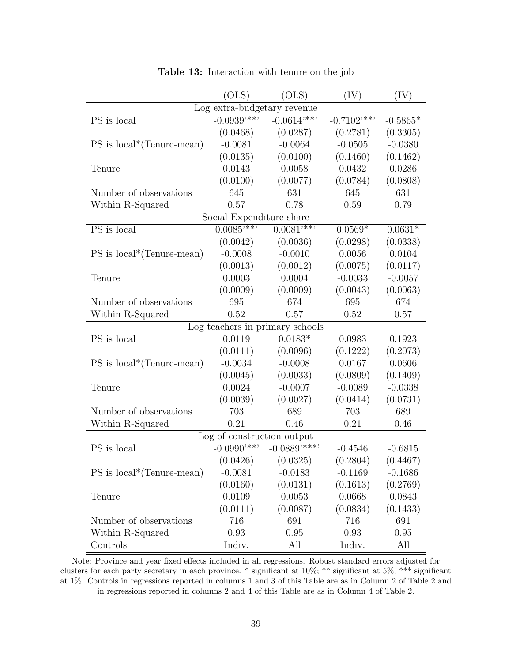|                                          | (OLS)                    | (OLS)        | (IV)         | $(\mathrm{IV})$ |  |  |  |  |
|------------------------------------------|--------------------------|--------------|--------------|-----------------|--|--|--|--|
| Log extra-budgetary revenue              |                          |              |              |                 |  |  |  |  |
| PS is local                              | $-0.0939***$             | $-0.0614***$ | $-0.7102***$ | $-0.5865*$      |  |  |  |  |
|                                          | (0.0468)                 | (0.0287)     | (0.2781)     | (0.3305)        |  |  |  |  |
| $PS$ is $local*(Tenure-mean)$            | $-0.0081$                | $-0.0064$    | $-0.0505$    | $-0.0380$       |  |  |  |  |
|                                          | (0.0135)                 | (0.0100)     | (0.1460)     | (0.1462)        |  |  |  |  |
| Tenure                                   | 0.0143                   | 0.0058       | 0.0432       | 0.0286          |  |  |  |  |
|                                          | (0.0100)                 | (0.0077)     | (0.0784)     | (0.0808)        |  |  |  |  |
| Number of observations                   | 645                      | 631          | 645          | 631             |  |  |  |  |
| Within R-Squared                         | 0.57                     | 0.78         | 0.59         | 0.79            |  |  |  |  |
|                                          | Social Expenditure share |              |              |                 |  |  |  |  |
| $\overline{\mathrm{PS}}$ is local        | $0.0085$ <sup>***</sup>  | $0.0081***$  | $0.0569*$    | $0.0631*$       |  |  |  |  |
|                                          | (0.0042)                 | (0.0036)     | (0.0298)     | (0.0338)        |  |  |  |  |
| $PS$ is local <sup>*</sup> (Tenure-mean) | $-0.0008$                | $-0.0010$    | 0.0056       | 0.0104          |  |  |  |  |
|                                          | (0.0013)                 | (0.0012)     | (0.0075)     | (0.0117)        |  |  |  |  |
| Tenure                                   | 0.0003                   | 0.0004       | $-0.0033$    | $-0.0057$       |  |  |  |  |
|                                          | (0.0009)                 | (0.0009)     | (0.0043)     | (0.0063)        |  |  |  |  |
| Number of observations                   | 695                      | 674          | 695          | 674             |  |  |  |  |
| Within R-Squared                         | 0.52                     | 0.57         | 0.52         | 0.57            |  |  |  |  |
| Log teachers in primary schools          |                          |              |              |                 |  |  |  |  |
| PS is local                              | 0.0119                   | $0.0183*$    | 0.0983       | 0.1923          |  |  |  |  |
|                                          | (0.0111)                 | (0.0096)     | (0.1222)     | (0.2073)        |  |  |  |  |
| $PS$ is local <sup>*</sup> (Tenure-mean) | $-0.0034$                | $-0.0008$    | 0.0167       | 0.0606          |  |  |  |  |
|                                          | (0.0045)                 | (0.0033)     | (0.0809)     | (0.1409)        |  |  |  |  |
| Tenure                                   | 0.0024                   | $-0.0007$    | $-0.0089$    | $-0.0338$       |  |  |  |  |
|                                          | (0.0039)                 | (0.0027)     | (0.0414)     | (0.0731)        |  |  |  |  |
| Number of observations                   | 703                      | 689          | 703          | 689             |  |  |  |  |
| Within R-Squared                         | 0.21                     | 0.46         | 0.21         | 0.46            |  |  |  |  |
| Log of construction output               |                          |              |              |                 |  |  |  |  |
| PS is local                              | $-0.0990***$             | $-0.0889***$ | $-0.4546$    | $-0.6815$       |  |  |  |  |
|                                          | (0.0426)                 | (0.0325)     | (0.2804)     | (0.4467)        |  |  |  |  |
| $PS$ is local*(Tenure-mean)              | $-0.0081$                | $-0.0183$    | $-0.1169$    | $-0.1686$       |  |  |  |  |
|                                          | (0.0160)                 | (0.0131)     | (0.1613)     | (0.2769)        |  |  |  |  |
| Tenure                                   | 0.0109                   | 0.0053       | 0.0668       | 0.0843          |  |  |  |  |
|                                          | (0.0111)                 | (0.0087)     | (0.0834)     | (0.1433)        |  |  |  |  |
| Number of observations                   | 716                      | 691          | 716          | 691             |  |  |  |  |
| Within R-Squared                         | 0.93                     | 0.95         | 0.93         | 0.95            |  |  |  |  |
| Controls                                 | Indiv.                   | All          | Indiv.       | All             |  |  |  |  |

Table 13: Interaction with tenure on the job

Note: Province and year fixed effects included in all regressions. Robust standard errors adjusted for clusters for each party secretary in each province. \* significant at 10%; \*\* significant at 5%; \*\*\* significant at 1%. Controls in regressions reported in columns 1 and 3 of this Table are as in Column 2 of Table 2 and in regressions reported in columns 2 and 4 of this Table are as in Column 4 of Table 2.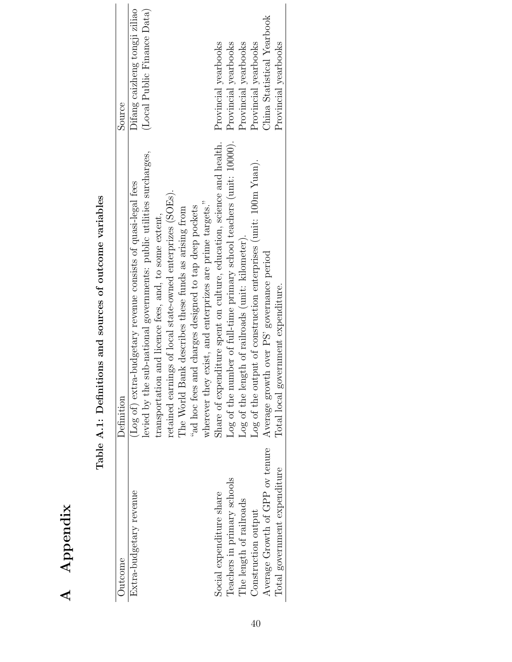| ו<br>ו                                                       |
|--------------------------------------------------------------|
| UCLASSIC CONTRACT TO THE CONTRACT TO SAINT USES TO THE SAINT |
| .<br> <br>l                                                  |
| )<br>}<br>}                                                  |
| $\frac{1}{2}$                                                |
| İ<br>$\mathbf{i}$<br>ĺ                                       |
| $\mathbf{i}$                                                 |
| ı                                                            |

| Extra-budgetary revenue         | Definition                                                            | Source                        |
|---------------------------------|-----------------------------------------------------------------------|-------------------------------|
|                                 | (Log of) extra-budgetary revenue consists of quasi-legal fees         | Difang caizheng tongji ziliao |
|                                 | levied by the sub-national governments: public utilities surcharges,  | (Local Public Finance Data)   |
|                                 | and licence fees, and, to some extent,<br>transportation              |                               |
|                                 | retained earnings of local state-owned enterprizes (SOEs).            |                               |
|                                 | The World Bank describes these funds as arising from                  |                               |
|                                 | "ad hoc fees and charges designed to tap deep pockets                 |                               |
|                                 | wherever they exist, and enterprizes are prime targets."              |                               |
| Social expenditure share        | Share of expenditure spent on culture, education, science and health. | Provincial yearbooks          |
| Teachers in primary schools     | Log of the number of full-time primary school teachers (unit: 10000). | Provincial yearbooks          |
| The length of railroads         | Log of the length of railroads (unit: kilometer).                     | Provincial yearbooks          |
| Construction output             | Log of the output of construction enterprises (unit: 100m Yuan).      | Provincial yearbooks          |
| Average Growth of GPP ov tenure | Average growth over PS' governance period                             | China Statistical Yearbook    |
| Total government expenditure    | Total local government expenditure.                                   | Provincial yearbooks          |